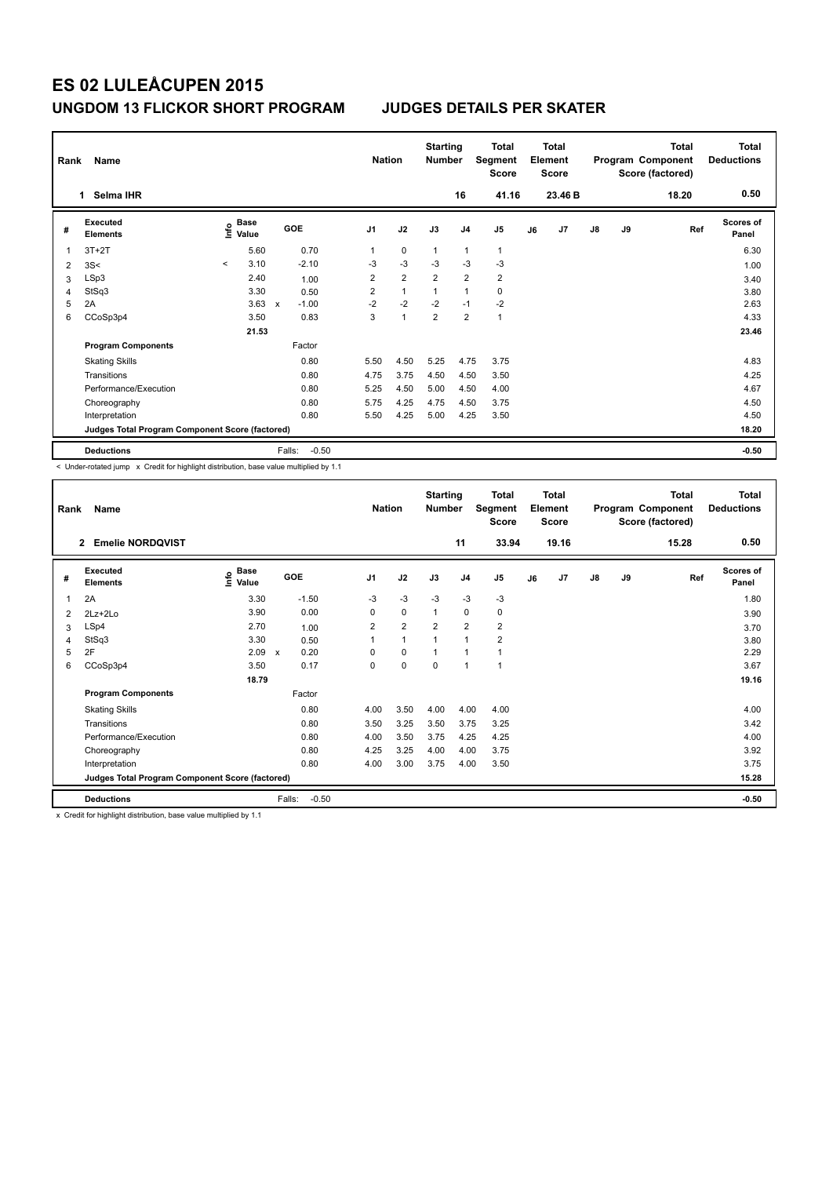| Rank | Name<br>Selma IHR<br>1.                         |         |                                  |             |                   | <b>Nation</b>  |                | <b>Starting</b><br><b>Number</b> | 16             | <b>Total</b><br>Segment<br><b>Score</b><br>41.16 |    | <b>Total</b><br>Element<br><b>Score</b><br>23.46 B |               |    | <b>Total</b><br>Program Component<br>Score (factored)<br>18.20 | <b>Total</b><br><b>Deductions</b><br>0.50 |
|------|-------------------------------------------------|---------|----------------------------------|-------------|-------------------|----------------|----------------|----------------------------------|----------------|--------------------------------------------------|----|----------------------------------------------------|---------------|----|----------------------------------------------------------------|-------------------------------------------|
|      |                                                 |         |                                  |             |                   |                |                |                                  |                |                                                  |    |                                                    |               |    |                                                                |                                           |
| #    | <b>Executed</b><br><b>Elements</b>              |         | <b>Base</b><br>e Base<br>⊆ Value |             | GOE               | J <sub>1</sub> | J2             | J3                               | J <sub>4</sub> | J5                                               | J6 | J7                                                 | $\mathsf{J}8$ | J9 | Ref                                                            | Scores of<br>Panel                        |
| 1    | $3T+2T$                                         |         | 5.60                             |             | 0.70              | 1              | $\mathbf 0$    | $\overline{1}$                   | $\overline{1}$ | $\mathbf{1}$                                     |    |                                                    |               |    |                                                                | 6.30                                      |
| 2    | 3S<                                             | $\prec$ | 3.10                             |             | $-2.10$           | $-3$           | $-3$           | $-3$                             | $-3$           | $-3$                                             |    |                                                    |               |    |                                                                | 1.00                                      |
| 3    | LSp3                                            |         | 2.40                             |             | 1.00              | $\overline{2}$ | $\overline{2}$ | $\overline{2}$                   | $\overline{2}$ | $\overline{2}$                                   |    |                                                    |               |    |                                                                | 3.40                                      |
| 4    | StSq3                                           |         | 3.30                             |             | 0.50              | $\overline{2}$ | $\mathbf{1}$   | $\overline{1}$                   | $\overline{1}$ | $\mathbf 0$                                      |    |                                                    |               |    |                                                                | 3.80                                      |
| 5    | 2A                                              |         | 3.63                             | $\mathbf x$ | $-1.00$           | $-2$           | $-2$           | $-2$                             | $-1$           | $-2$                                             |    |                                                    |               |    |                                                                | 2.63                                      |
| 6    | CCoSp3p4                                        |         | 3.50                             |             | 0.83              | 3              | $\overline{1}$ | $\overline{2}$                   | $\overline{2}$ | $\mathbf{1}$                                     |    |                                                    |               |    |                                                                | 4.33                                      |
|      |                                                 |         | 21.53                            |             |                   |                |                |                                  |                |                                                  |    |                                                    |               |    |                                                                | 23.46                                     |
|      | <b>Program Components</b>                       |         |                                  |             | Factor            |                |                |                                  |                |                                                  |    |                                                    |               |    |                                                                |                                           |
|      | <b>Skating Skills</b>                           |         |                                  |             | 0.80              | 5.50           | 4.50           | 5.25                             | 4.75           | 3.75                                             |    |                                                    |               |    |                                                                | 4.83                                      |
|      | Transitions                                     |         |                                  |             | 0.80              | 4.75           | 3.75           | 4.50                             | 4.50           | 3.50                                             |    |                                                    |               |    |                                                                | 4.25                                      |
|      | Performance/Execution                           |         |                                  |             | 0.80              | 5.25           | 4.50           | 5.00                             | 4.50           | 4.00                                             |    |                                                    |               |    |                                                                | 4.67                                      |
|      | Choreography                                    |         |                                  |             | 0.80              | 5.75           | 4.25           | 4.75                             | 4.50           | 3.75                                             |    |                                                    |               |    |                                                                | 4.50                                      |
|      | Interpretation                                  |         |                                  |             | 0.80              | 5.50           | 4.25           | 5.00                             | 4.25           | 3.50                                             |    |                                                    |               |    |                                                                | 4.50                                      |
|      | Judges Total Program Component Score (factored) |         |                                  |             |                   |                |                |                                  |                |                                                  |    |                                                    |               |    |                                                                | 18.20                                     |
|      | <b>Deductions</b>                               |         |                                  |             | $-0.50$<br>Falls: |                |                |                                  |                |                                                  |    |                                                    |               |    |                                                                | $-0.50$                                   |

< Under-rotated jump x Credit for highlight distribution, base value multiplied by 1.1

| Rank | Name                                            |                              |                      | <b>Nation</b>  |                | <b>Starting</b><br><b>Number</b> |                         | Total<br>Segment<br><b>Score</b> |    | <b>Total</b><br>Element<br><b>Score</b> |               |    | <b>Total</b><br>Program Component<br>Score (factored) | <b>Total</b><br><b>Deductions</b> |
|------|-------------------------------------------------|------------------------------|----------------------|----------------|----------------|----------------------------------|-------------------------|----------------------------------|----|-----------------------------------------|---------------|----|-------------------------------------------------------|-----------------------------------|
|      | <b>Emelie NORDQVIST</b><br>$\overline{2}$       |                              |                      |                |                |                                  | 11                      | 33.94                            |    | 19.16                                   |               |    | 15.28                                                 | 0.50                              |
| #    | Executed<br><b>Elements</b>                     | <b>Base</b><br>١nfo<br>Value | GOE                  | J <sub>1</sub> | J2             | J3                               | J <sub>4</sub>          | J <sub>5</sub>                   | J6 | J7                                      | $\mathsf{J}8$ | J9 | Ref                                                   | <b>Scores of</b><br>Panel         |
| 1    | 2A                                              | 3.30                         | $-1.50$              | $-3$           | $-3$           | $-3$                             | $-3$                    | $-3$                             |    |                                         |               |    |                                                       | 1.80                              |
| 2    | $2Lz+2Lo$                                       | 3.90                         | 0.00                 | 0              | $\mathbf 0$    | 1                                | $\mathbf 0$             | 0                                |    |                                         |               |    |                                                       | 3.90                              |
| 3    | LSp4                                            | 2.70                         | 1.00                 | 2              | $\overline{2}$ | $\overline{2}$                   | $\overline{\mathbf{c}}$ | 2                                |    |                                         |               |    |                                                       | 3.70                              |
| 4    | StSq3                                           | 3.30                         | 0.50                 |                | $\mathbf{1}$   |                                  | 1                       | $\overline{\mathbf{c}}$          |    |                                         |               |    |                                                       | 3.80                              |
| 5    | 2F                                              | 2.09                         | 0.20<br>$\mathsf{x}$ | $\Omega$       | 0              |                                  | 1                       |                                  |    |                                         |               |    |                                                       | 2.29                              |
| 6    | CCoSp3p4                                        | 3.50                         | 0.17                 | 0              | $\mathbf 0$    | 0                                | 1                       | 1                                |    |                                         |               |    |                                                       | 3.67                              |
|      |                                                 | 18.79                        |                      |                |                |                                  |                         |                                  |    |                                         |               |    |                                                       | 19.16                             |
|      | <b>Program Components</b>                       |                              | Factor               |                |                |                                  |                         |                                  |    |                                         |               |    |                                                       |                                   |
|      | <b>Skating Skills</b>                           |                              | 0.80                 | 4.00           | 3.50           | 4.00                             | 4.00                    | 4.00                             |    |                                         |               |    |                                                       | 4.00                              |
|      | Transitions                                     |                              | 0.80                 | 3.50           | 3.25           | 3.50                             | 3.75                    | 3.25                             |    |                                         |               |    |                                                       | 3.42                              |
|      | Performance/Execution                           |                              | 0.80                 | 4.00           | 3.50           | 3.75                             | 4.25                    | 4.25                             |    |                                         |               |    |                                                       | 4.00                              |
|      | Choreography                                    |                              | 0.80                 | 4.25           | 3.25           | 4.00                             | 4.00                    | 3.75                             |    |                                         |               |    |                                                       | 3.92                              |
|      | Interpretation                                  |                              | 0.80                 | 4.00           | 3.00           | 3.75                             | 4.00                    | 3.50                             |    |                                         |               |    |                                                       | 3.75                              |
|      | Judges Total Program Component Score (factored) |                              |                      |                |                |                                  |                         |                                  |    |                                         |               |    |                                                       | 15.28                             |
|      | <b>Deductions</b>                               |                              | Falls:<br>$-0.50$    |                |                |                                  |                         |                                  |    |                                         |               |    |                                                       | $-0.50$                           |

x Credit for highlight distribution, base value multiplied by 1.1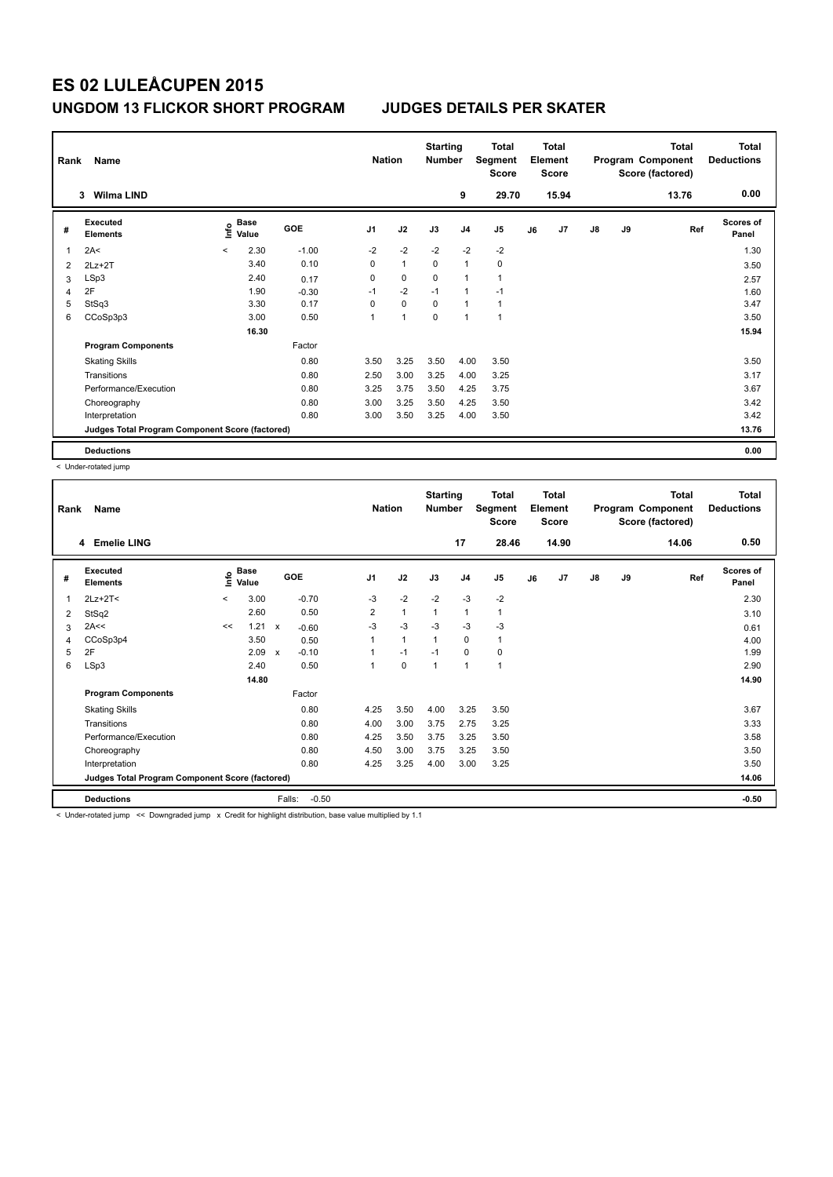| Rank | Name                                            |         |                      |            | <b>Nation</b>  |                | <b>Starting</b><br><b>Number</b> |                | Total<br>Segment<br><b>Score</b> |    | <b>Total</b><br>Element<br><b>Score</b> |               |    | <b>Total</b><br>Program Component<br>Score (factored) | <b>Total</b><br><b>Deductions</b> |
|------|-------------------------------------------------|---------|----------------------|------------|----------------|----------------|----------------------------------|----------------|----------------------------------|----|-----------------------------------------|---------------|----|-------------------------------------------------------|-----------------------------------|
|      | <b>Wilma LIND</b><br>3                          |         |                      |            |                |                |                                  | 9              | 29.70                            |    | 15.94                                   |               |    | 13.76                                                 | 0.00                              |
| #    | Executed<br><b>Elements</b>                     | ١nf٥    | <b>Base</b><br>Value | <b>GOE</b> | J <sub>1</sub> | J2             | J3                               | J <sub>4</sub> | J <sub>5</sub>                   | J6 | J7                                      | $\mathsf{J}8$ | J9 | Ref                                                   | <b>Scores of</b><br>Panel         |
| 1    | 2A<                                             | $\prec$ | 2.30                 | $-1.00$    | $-2$           | $-2$           | $-2$                             | $-2$           | $-2$                             |    |                                         |               |    |                                                       | 1.30                              |
| 2    | $2Lz+2T$                                        |         | 3.40                 | 0.10       | 0              | $\overline{1}$ | $\mathbf 0$                      | $\mathbf{1}$   | 0                                |    |                                         |               |    |                                                       | 3.50                              |
| 3    | LSp3                                            |         | 2.40                 | 0.17       | 0              | 0              | 0                                | $\mathbf{1}$   | $\mathbf{1}$                     |    |                                         |               |    |                                                       | 2.57                              |
| 4    | 2F                                              |         | 1.90                 | $-0.30$    | $-1$           | $-2$           | $-1$                             | $\mathbf{1}$   | $-1$                             |    |                                         |               |    |                                                       | 1.60                              |
| 5    | StSq3                                           |         | 3.30                 | 0.17       | 0              | $\mathbf 0$    | $\mathbf 0$                      | $\mathbf{1}$   | $\mathbf{1}$                     |    |                                         |               |    |                                                       | 3.47                              |
| 6    | CCoSp3p3                                        |         | 3.00                 | 0.50       | 1              | $\overline{1}$ | $\Omega$                         | $\overline{1}$ | $\overline{1}$                   |    |                                         |               |    |                                                       | 3.50                              |
|      |                                                 |         | 16.30                |            |                |                |                                  |                |                                  |    |                                         |               |    |                                                       | 15.94                             |
|      | <b>Program Components</b>                       |         |                      | Factor     |                |                |                                  |                |                                  |    |                                         |               |    |                                                       |                                   |
|      | <b>Skating Skills</b>                           |         |                      | 0.80       | 3.50           | 3.25           | 3.50                             | 4.00           | 3.50                             |    |                                         |               |    |                                                       | 3.50                              |
|      | Transitions                                     |         |                      | 0.80       | 2.50           | 3.00           | 3.25                             | 4.00           | 3.25                             |    |                                         |               |    |                                                       | 3.17                              |
|      | Performance/Execution                           |         |                      | 0.80       | 3.25           | 3.75           | 3.50                             | 4.25           | 3.75                             |    |                                         |               |    |                                                       | 3.67                              |
|      | Choreography                                    |         |                      | 0.80       | 3.00           | 3.25           | 3.50                             | 4.25           | 3.50                             |    |                                         |               |    |                                                       | 3.42                              |
|      | Interpretation                                  |         |                      | 0.80       | 3.00           | 3.50           | 3.25                             | 4.00           | 3.50                             |    |                                         |               |    |                                                       | 3.42                              |
|      | Judges Total Program Component Score (factored) |         |                      |            |                |                |                                  |                |                                  |    |                                         |               |    |                                                       | 13.76                             |
|      | <b>Deductions</b>                               |         |                      |            |                |                |                                  |                |                                  |    |                                         |               |    |                                                       | 0.00                              |

< Under-rotated jump

| Rank | Name                                            |         |                      |                                      | <b>Nation</b>  |              | <b>Starting</b><br><b>Number</b> |                | <b>Total</b><br>Segment<br><b>Score</b> |    | <b>Total</b><br>Element<br><b>Score</b> |               |    | <b>Total</b><br>Program Component<br>Score (factored) | <b>Total</b><br><b>Deductions</b> |
|------|-------------------------------------------------|---------|----------------------|--------------------------------------|----------------|--------------|----------------------------------|----------------|-----------------------------------------|----|-----------------------------------------|---------------|----|-------------------------------------------------------|-----------------------------------|
|      | 4 Emelie LING                                   |         |                      |                                      |                |              |                                  | 17             | 28.46                                   |    | 14.90                                   |               |    | 14.06                                                 | 0.50                              |
| #    | Executed<br><b>Elements</b>                     | ۴٥      | <b>Base</b><br>Value | GOE                                  | J <sub>1</sub> | J2           | J3                               | J <sub>4</sub> | J <sub>5</sub>                          | J6 | J7                                      | $\mathsf{J}8$ | J9 | Ref                                                   | <b>Scores of</b><br>Panel         |
| 1    | $2Lz+2T<$                                       | $\prec$ | 3.00                 | $-0.70$                              | $-3$           | $-2$         | $-2$                             | $-3$           | $-2$                                    |    |                                         |               |    |                                                       | 2.30                              |
| 2    | StSq2                                           |         | 2.60                 | 0.50                                 | 2              | $\mathbf{1}$ | $\mathbf{1}$                     | $\mathbf{1}$   | $\mathbf{1}$                            |    |                                         |               |    |                                                       | 3.10                              |
| 3    | 2A<<                                            | <<      | 1.21                 | $-0.60$<br>$\mathsf{x}$              | $-3$           | $-3$         | $-3$                             | $-3$           | $-3$                                    |    |                                         |               |    |                                                       | 0.61                              |
| 4    | CCoSp3p4                                        |         | 3.50                 | 0.50                                 |                | $\mathbf{1}$ | $\mathbf{1}$                     | $\mathbf 0$    | $\mathbf{1}$                            |    |                                         |               |    |                                                       | 4.00                              |
| 5    | 2F                                              |         | 2.09                 | $-0.10$<br>$\boldsymbol{\mathsf{x}}$ |                | $-1$         | $-1$                             | $\mathbf 0$    | $\pmb{0}$                               |    |                                         |               |    |                                                       | 1.99                              |
| 6    | LSp3                                            |         | 2.40                 | 0.50                                 |                | $\pmb{0}$    | 1                                | $\mathbf{1}$   | $\mathbf{1}$                            |    |                                         |               |    |                                                       | 2.90                              |
|      |                                                 |         | 14.80                |                                      |                |              |                                  |                |                                         |    |                                         |               |    |                                                       | 14.90                             |
|      | <b>Program Components</b>                       |         |                      | Factor                               |                |              |                                  |                |                                         |    |                                         |               |    |                                                       |                                   |
|      | <b>Skating Skills</b>                           |         |                      | 0.80                                 | 4.25           | 3.50         | 4.00                             | 3.25           | 3.50                                    |    |                                         |               |    |                                                       | 3.67                              |
|      | Transitions                                     |         |                      | 0.80                                 | 4.00           | 3.00         | 3.75                             | 2.75           | 3.25                                    |    |                                         |               |    |                                                       | 3.33                              |
|      | Performance/Execution                           |         |                      | 0.80                                 | 4.25           | 3.50         | 3.75                             | 3.25           | 3.50                                    |    |                                         |               |    |                                                       | 3.58                              |
|      | Choreography                                    |         |                      | 0.80                                 | 4.50           | 3.00         | 3.75                             | 3.25           | 3.50                                    |    |                                         |               |    |                                                       | 3.50                              |
|      | Interpretation                                  |         |                      | 0.80                                 | 4.25           | 3.25         | 4.00                             | 3.00           | 3.25                                    |    |                                         |               |    |                                                       | 3.50                              |
|      | Judges Total Program Component Score (factored) |         |                      |                                      |                |              |                                  |                |                                         |    |                                         |               |    |                                                       | 14.06                             |
|      | <b>Deductions</b>                               |         |                      | Falls:<br>$-0.50$                    |                |              |                                  |                |                                         |    |                                         |               |    |                                                       | $-0.50$                           |

< Under-rotated jump << Downgraded jump x Credit for highlight distribution, base value multiplied by 1.1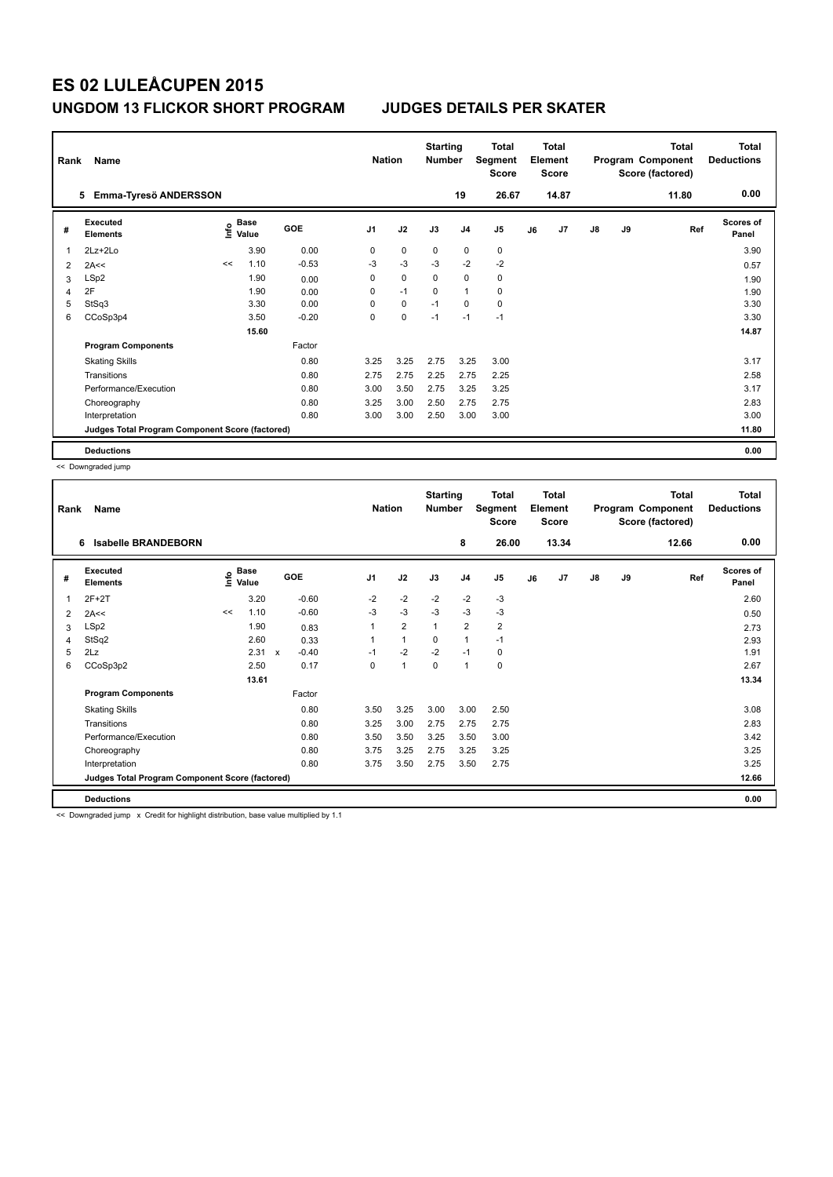| Rank | Name                                            |      |               |         | <b>Nation</b>  |             | <b>Starting</b><br><b>Number</b> |                | Total<br>Segment<br><b>Score</b> |    | <b>Total</b><br>Element<br><b>Score</b> |               |    | <b>Total</b><br>Program Component<br>Score (factored) | <b>Total</b><br><b>Deductions</b> |
|------|-------------------------------------------------|------|---------------|---------|----------------|-------------|----------------------------------|----------------|----------------------------------|----|-----------------------------------------|---------------|----|-------------------------------------------------------|-----------------------------------|
|      | Emma-Tyresö ANDERSSON<br>5                      |      |               |         |                |             |                                  | 19             | 26.67                            |    | 14.87                                   |               |    | 11.80                                                 | 0.00                              |
| #    | Executed<br><b>Elements</b>                     | ١nf٥ | Base<br>Value | GOE     | J <sub>1</sub> | J2          | J3                               | J <sub>4</sub> | J <sub>5</sub>                   | J6 | J7                                      | $\mathsf{J}8$ | J9 | Ref                                                   | <b>Scores of</b><br>Panel         |
| 1    | $2Lz+2Lo$                                       |      | 3.90          | 0.00    | 0              | $\mathbf 0$ | 0                                | $\mathbf 0$    | $\mathbf 0$                      |    |                                         |               |    |                                                       | 3.90                              |
| 2    | 2A<<                                            | <<   | 1.10          | $-0.53$ | -3             | $-3$        | $-3$                             | $-2$           | $-2$                             |    |                                         |               |    |                                                       | 0.57                              |
| 3    | LSp2                                            |      | 1.90          | 0.00    | 0              | 0           | 0                                | 0              | 0                                |    |                                         |               |    |                                                       | 1.90                              |
| 4    | 2F                                              |      | 1.90          | 0.00    | 0              | $-1$        | $\Omega$                         | $\mathbf{1}$   | 0                                |    |                                         |               |    |                                                       | 1.90                              |
| 5    | StSq3                                           |      | 3.30          | 0.00    | $\Omega$       | $\mathbf 0$ | $-1$                             | $\mathbf 0$    | 0                                |    |                                         |               |    |                                                       | 3.30                              |
| 6    | CCoSp3p4                                        |      | 3.50          | $-0.20$ | 0              | $\mathbf 0$ | $-1$                             | $-1$           | $-1$                             |    |                                         |               |    |                                                       | 3.30                              |
|      |                                                 |      | 15.60         |         |                |             |                                  |                |                                  |    |                                         |               |    |                                                       | 14.87                             |
|      | <b>Program Components</b>                       |      |               | Factor  |                |             |                                  |                |                                  |    |                                         |               |    |                                                       |                                   |
|      | <b>Skating Skills</b>                           |      |               | 0.80    | 3.25           | 3.25        | 2.75                             | 3.25           | 3.00                             |    |                                         |               |    |                                                       | 3.17                              |
|      | Transitions                                     |      |               | 0.80    | 2.75           | 2.75        | 2.25                             | 2.75           | 2.25                             |    |                                         |               |    |                                                       | 2.58                              |
|      | Performance/Execution                           |      |               | 0.80    | 3.00           | 3.50        | 2.75                             | 3.25           | 3.25                             |    |                                         |               |    |                                                       | 3.17                              |
|      | Choreography                                    |      |               | 0.80    | 3.25           | 3.00        | 2.50                             | 2.75           | 2.75                             |    |                                         |               |    |                                                       | 2.83                              |
|      | Interpretation                                  |      |               | 0.80    | 3.00           | 3.00        | 2.50                             | 3.00           | 3.00                             |    |                                         |               |    |                                                       | 3.00                              |
|      | Judges Total Program Component Score (factored) |      |               |         |                |             |                                  |                |                                  |    |                                         |               |    |                                                       | 11.80                             |
|      | <b>Deductions</b>                               |      |               |         |                |             |                                  |                |                                  |    |                                         |               |    |                                                       | 0.00                              |

<< Downgraded jump

| Rank | Name                                            |                   |             |              |         |                | <b>Nation</b>  | <b>Starting</b><br><b>Number</b> |                | <b>Total</b><br>Segment<br><b>Score</b> |    | Total<br>Element<br><b>Score</b> |               |    | <b>Total</b><br>Program Component<br>Score (factored) | <b>Total</b><br><b>Deductions</b> |
|------|-------------------------------------------------|-------------------|-------------|--------------|---------|----------------|----------------|----------------------------------|----------------|-----------------------------------------|----|----------------------------------|---------------|----|-------------------------------------------------------|-----------------------------------|
|      | 6<br><b>Isabelle BRANDEBORN</b>                 |                   |             |              |         |                |                |                                  | 8              | 26.00                                   |    | 13.34                            |               |    | 12.66                                                 | 0.00                              |
| #    | Executed<br><b>Elements</b>                     | e Base<br>⊆ Value | <b>Base</b> | GOE          |         | J <sub>1</sub> | J2             | J3                               | J <sub>4</sub> | J5                                      | J6 | J7                               | $\mathsf{J}8$ | J9 | Ref                                                   | Scores of<br>Panel                |
| 1    | $2F+2T$                                         |                   | 3.20        |              | $-0.60$ | $-2$           | $-2$           | $-2$                             | $-2$           | $-3$                                    |    |                                  |               |    |                                                       | 2.60                              |
| 2    | 2A<<                                            | <<                | 1.10        |              | $-0.60$ | $-3$           | $-3$           | $-3$                             | $-3$           | $-3$                                    |    |                                  |               |    |                                                       | 0.50                              |
| 3    | LSp2                                            |                   | 1.90        |              | 0.83    |                | $\overline{2}$ | 1                                | $\overline{2}$ | $\overline{\mathbf{c}}$                 |    |                                  |               |    |                                                       | 2.73                              |
| 4    | StSq2                                           |                   | 2.60        |              | 0.33    |                | $\mathbf{1}$   | $\Omega$                         | $\mathbf{1}$   | $-1$                                    |    |                                  |               |    |                                                       | 2.93                              |
| 5    | 2Lz                                             |                   | 2.31        | $\mathsf{x}$ | $-0.40$ | $-1$           | $-2$           | $-2$                             | $-1$           | 0                                       |    |                                  |               |    |                                                       | 1.91                              |
| 6    | CCoSp3p2                                        |                   | 2.50        |              | 0.17    | 0              | 1              | $\mathbf 0$                      | 1              | $\mathbf 0$                             |    |                                  |               |    |                                                       | 2.67                              |
|      |                                                 |                   | 13.61       |              |         |                |                |                                  |                |                                         |    |                                  |               |    |                                                       | 13.34                             |
|      | <b>Program Components</b>                       |                   |             |              | Factor  |                |                |                                  |                |                                         |    |                                  |               |    |                                                       |                                   |
|      | <b>Skating Skills</b>                           |                   |             |              | 0.80    | 3.50           | 3.25           | 3.00                             | 3.00           | 2.50                                    |    |                                  |               |    |                                                       | 3.08                              |
|      | Transitions                                     |                   |             |              | 0.80    | 3.25           | 3.00           | 2.75                             | 2.75           | 2.75                                    |    |                                  |               |    |                                                       | 2.83                              |
|      | Performance/Execution                           |                   |             |              | 0.80    | 3.50           | 3.50           | 3.25                             | 3.50           | 3.00                                    |    |                                  |               |    |                                                       | 3.42                              |
|      | Choreography                                    |                   |             |              | 0.80    | 3.75           | 3.25           | 2.75                             | 3.25           | 3.25                                    |    |                                  |               |    |                                                       | 3.25                              |
|      | Interpretation                                  |                   |             |              | 0.80    | 3.75           | 3.50           | 2.75                             | 3.50           | 2.75                                    |    |                                  |               |    |                                                       | 3.25                              |
|      | Judges Total Program Component Score (factored) |                   |             |              |         |                |                |                                  |                |                                         |    |                                  |               |    |                                                       | 12.66                             |
|      | <b>Deductions</b>                               |                   |             |              |         |                |                |                                  |                |                                         |    |                                  |               |    |                                                       | 0.00                              |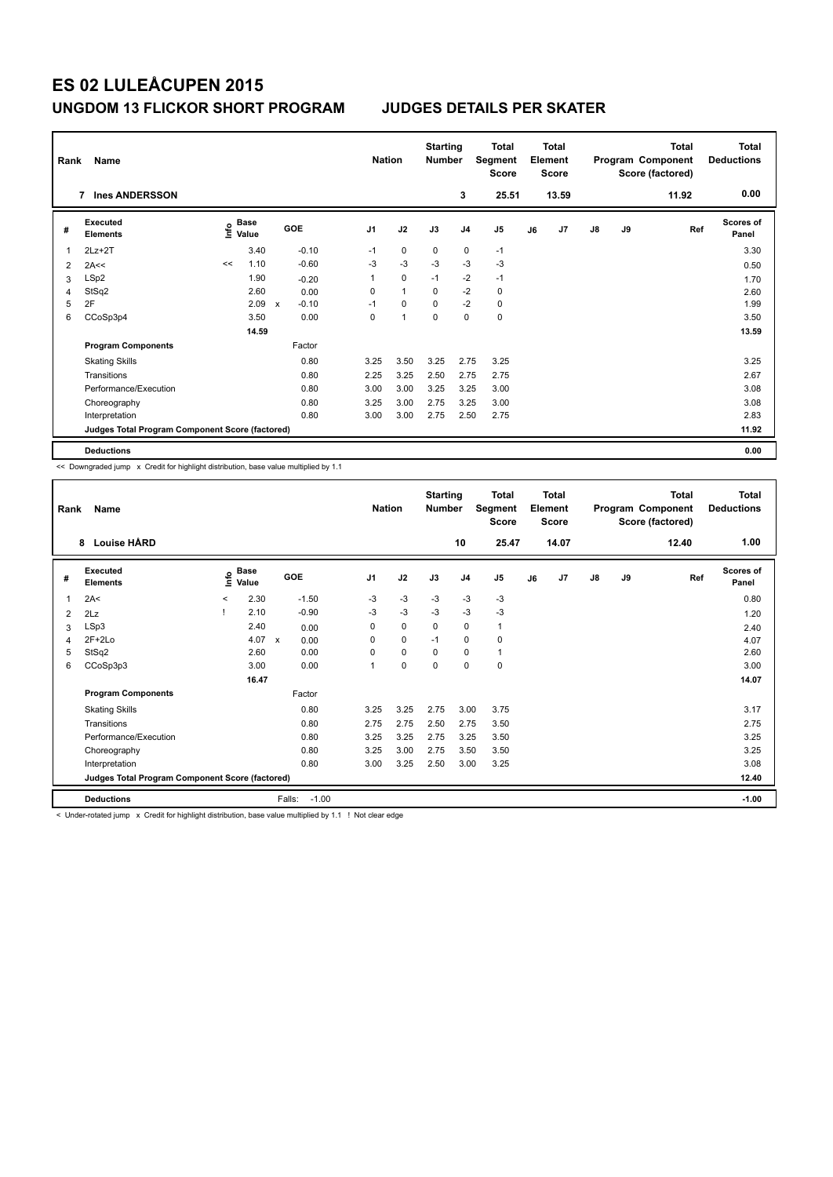| Rank | Name                                            |                       |       |                                      | <b>Nation</b>  |                | <b>Starting</b><br><b>Number</b> |                | Total<br>Segment<br><b>Score</b> |    | <b>Total</b><br>Element<br><b>Score</b> |               |    | <b>Total</b><br>Program Component<br>Score (factored) | <b>Total</b><br><b>Deductions</b> |
|------|-------------------------------------------------|-----------------------|-------|--------------------------------------|----------------|----------------|----------------------------------|----------------|----------------------------------|----|-----------------------------------------|---------------|----|-------------------------------------------------------|-----------------------------------|
|      | <b>Ines ANDERSSON</b><br>$\overline{7}$         |                       |       |                                      |                |                |                                  | 3              | 25.51                            |    | 13.59                                   |               |    | 11.92                                                 | 0.00                              |
| #    | Executed<br><b>Elements</b>                     | Base<br>١nf٥<br>Value |       | GOE                                  | J <sub>1</sub> | J2             | J3                               | J <sub>4</sub> | J <sub>5</sub>                   | J6 | J7                                      | $\mathsf{J}8$ | J9 | Ref                                                   | Scores of<br>Panel                |
| 1    | $2Lz+2T$                                        |                       | 3.40  | $-0.10$                              | $-1$           | 0              | 0                                | $\mathbf 0$    | $-1$                             |    |                                         |               |    |                                                       | 3.30                              |
| 2    | 2A<<                                            | <<                    | 1.10  | $-0.60$                              | $-3$           | $-3$           | $-3$                             | $-3$           | $-3$                             |    |                                         |               |    |                                                       | 0.50                              |
| 3    | LSp2                                            |                       | 1.90  | $-0.20$                              | 1              | $\mathbf 0$    | $-1$                             | $-2$           | $-1$                             |    |                                         |               |    |                                                       | 1.70                              |
| 4    | StSq2                                           |                       | 2.60  | 0.00                                 | 0              | $\mathbf{1}$   | $\Omega$                         | $-2$           | 0                                |    |                                         |               |    |                                                       | 2.60                              |
| 5    | 2F                                              |                       | 2.09  | $-0.10$<br>$\boldsymbol{\mathsf{x}}$ | $-1$           | $\mathbf 0$    | $\mathbf 0$                      | $-2$           | 0                                |    |                                         |               |    |                                                       | 1.99                              |
| 6    | CCoSp3p4                                        |                       | 3.50  | 0.00                                 | 0              | $\overline{1}$ | $\Omega$                         | 0              | $\mathbf 0$                      |    |                                         |               |    |                                                       | 3.50                              |
|      |                                                 |                       | 14.59 |                                      |                |                |                                  |                |                                  |    |                                         |               |    |                                                       | 13.59                             |
|      | <b>Program Components</b>                       |                       |       | Factor                               |                |                |                                  |                |                                  |    |                                         |               |    |                                                       |                                   |
|      | <b>Skating Skills</b>                           |                       |       | 0.80                                 | 3.25           | 3.50           | 3.25                             | 2.75           | 3.25                             |    |                                         |               |    |                                                       | 3.25                              |
|      | Transitions                                     |                       |       | 0.80                                 | 2.25           | 3.25           | 2.50                             | 2.75           | 2.75                             |    |                                         |               |    |                                                       | 2.67                              |
|      | Performance/Execution                           |                       |       | 0.80                                 | 3.00           | 3.00           | 3.25                             | 3.25           | 3.00                             |    |                                         |               |    |                                                       | 3.08                              |
|      | Choreography                                    |                       |       | 0.80                                 | 3.25           | 3.00           | 2.75                             | 3.25           | 3.00                             |    |                                         |               |    |                                                       | 3.08                              |
|      | Interpretation                                  |                       |       | 0.80                                 | 3.00           | 3.00           | 2.75                             | 2.50           | 2.75                             |    |                                         |               |    |                                                       | 2.83                              |
|      | Judges Total Program Component Score (factored) |                       |       |                                      |                |                |                                  |                |                                  |    |                                         |               |    |                                                       | 11.92                             |
|      | <b>Deductions</b>                               |                       |       |                                      |                |                |                                  |                |                                  |    |                                         |               |    |                                                       | 0.00                              |

<< Downgraded jump x Credit for highlight distribution, base value multiplied by 1.1

| Rank | Name                                            |         |                      |                   | <b>Nation</b>  |      | <b>Starting</b><br><b>Number</b> |                | <b>Total</b><br>Segment<br><b>Score</b> |    | <b>Total</b><br>Element<br><b>Score</b> |    |    | <b>Total</b><br>Program Component<br>Score (factored) | Total<br><b>Deductions</b> |
|------|-------------------------------------------------|---------|----------------------|-------------------|----------------|------|----------------------------------|----------------|-----------------------------------------|----|-----------------------------------------|----|----|-------------------------------------------------------|----------------------------|
|      | <b>Louise HÅRD</b><br>8                         |         |                      |                   |                |      |                                  | 10             | 25.47                                   |    | 14.07                                   |    |    | 12.40                                                 | 1.00                       |
| #    | Executed<br><b>Elements</b>                     | ۴       | <b>Base</b><br>Value | <b>GOE</b>        | J <sub>1</sub> | J2   | J3                               | J <sub>4</sub> | J <sub>5</sub>                          | J6 | J <sub>7</sub>                          | J8 | J9 | Ref                                                   | Scores of<br>Panel         |
| 1    | 2A<                                             | $\prec$ | 2.30                 | $-1.50$           | $-3$           | $-3$ | $-3$                             | $-3$           | $-3$                                    |    |                                         |    |    |                                                       | 0.80                       |
| 2    | 2Lz                                             |         | 2.10                 | $-0.90$           | $-3$           | $-3$ | -3                               | $-3$           | $-3$                                    |    |                                         |    |    |                                                       | 1.20                       |
| 3    | LSp3                                            |         | 2.40                 | 0.00              | 0              | 0    | 0                                | $\mathbf 0$    | 1                                       |    |                                         |    |    |                                                       | 2.40                       |
| 4    | $2F+2Lo$                                        |         | 4.07 $\times$        | 0.00              | 0              | 0    | $-1$                             | 0              | 0                                       |    |                                         |    |    |                                                       | 4.07                       |
| 5    | StSq2                                           |         | 2.60                 | 0.00              | $\Omega$       | 0    | $\Omega$                         | 0              | 1                                       |    |                                         |    |    |                                                       | 2.60                       |
| 6    | CCoSp3p3                                        |         | 3.00                 | 0.00              | 1              | 0    | 0                                | $\mathbf 0$    | 0                                       |    |                                         |    |    |                                                       | 3.00                       |
|      |                                                 |         | 16.47                |                   |                |      |                                  |                |                                         |    |                                         |    |    |                                                       | 14.07                      |
|      | <b>Program Components</b>                       |         |                      | Factor            |                |      |                                  |                |                                         |    |                                         |    |    |                                                       |                            |
|      | <b>Skating Skills</b>                           |         |                      | 0.80              | 3.25           | 3.25 | 2.75                             | 3.00           | 3.75                                    |    |                                         |    |    |                                                       | 3.17                       |
|      | Transitions                                     |         |                      | 0.80              | 2.75           | 2.75 | 2.50                             | 2.75           | 3.50                                    |    |                                         |    |    |                                                       | 2.75                       |
|      | Performance/Execution                           |         |                      | 0.80              | 3.25           | 3.25 | 2.75                             | 3.25           | 3.50                                    |    |                                         |    |    |                                                       | 3.25                       |
|      | Choreography                                    |         |                      | 0.80              | 3.25           | 3.00 | 2.75                             | 3.50           | 3.50                                    |    |                                         |    |    |                                                       | 3.25                       |
|      | Interpretation                                  |         |                      | 0.80              | 3.00           | 3.25 | 2.50                             | 3.00           | 3.25                                    |    |                                         |    |    |                                                       | 3.08                       |
|      | Judges Total Program Component Score (factored) |         |                      |                   |                |      |                                  |                |                                         |    |                                         |    |    |                                                       | 12.40                      |
|      | <b>Deductions</b>                               |         |                      | $-1.00$<br>Falls: |                |      |                                  |                |                                         |    |                                         |    |    |                                                       | $-1.00$                    |

< Under-rotated jump x Credit for highlight distribution, base value multiplied by 1.1 ! Not clear edge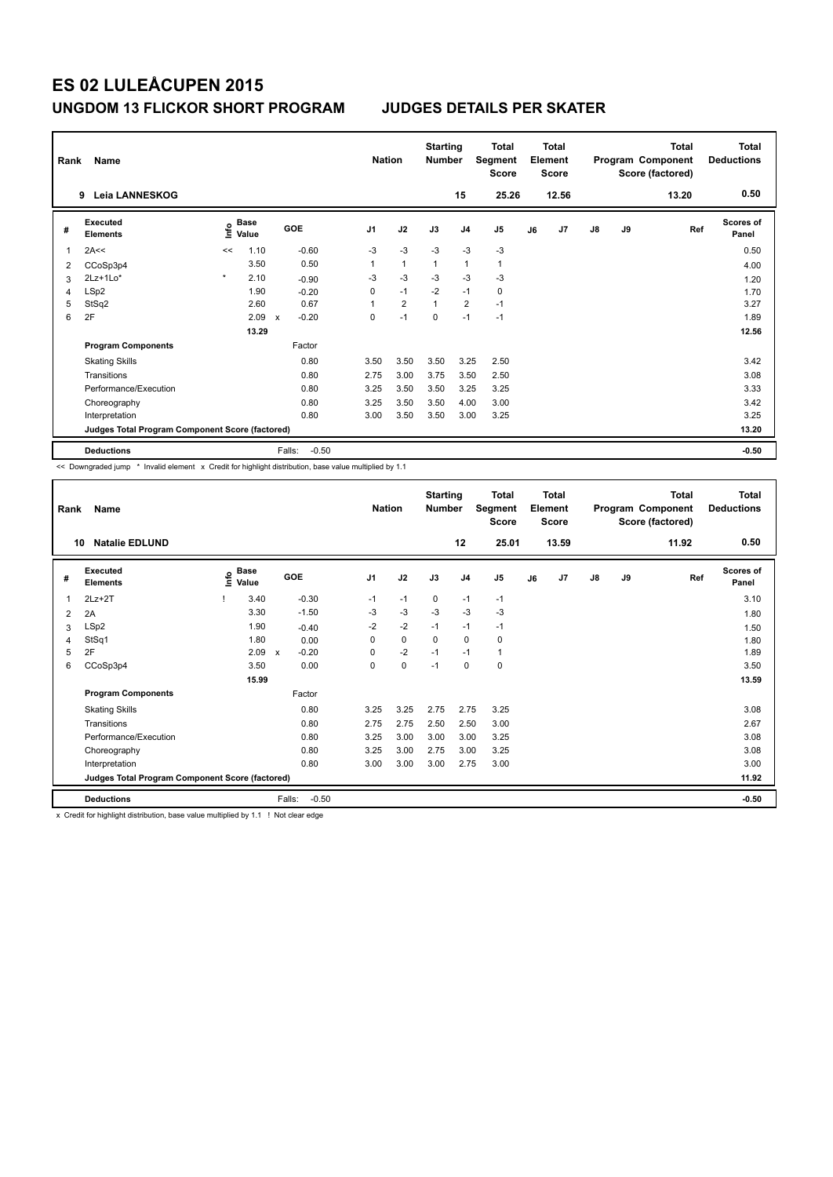| Rank | Name<br><b>Leia LANNESKOG</b><br>9              |         |               |                                      |                | <b>Nation</b> |                | <b>Starting</b><br><b>Number</b> | 15             | <b>Total</b><br>Segment<br><b>Score</b><br>25.26 |    | <b>Total</b><br>Element<br><b>Score</b><br>12.56 |               |    | <b>Total</b><br>Program Component<br>Score (factored)<br>13.20 | <b>Total</b><br><b>Deductions</b><br>0.50 |
|------|-------------------------------------------------|---------|---------------|--------------------------------------|----------------|---------------|----------------|----------------------------------|----------------|--------------------------------------------------|----|--------------------------------------------------|---------------|----|----------------------------------------------------------------|-------------------------------------------|
| #    | Executed<br><b>Elements</b>                     | lnfo    | Base<br>Value | GOE                                  | J <sub>1</sub> |               | J2             | J3                               | J <sub>4</sub> | J5                                               | J6 | J7                                               | $\mathsf{J}8$ | J9 | Ref                                                            | Scores of<br>Panel                        |
| 1    | 2A<<                                            | <<      | 1.10          | $-0.60$                              |                | $-3$          | $-3$           | $-3$                             | $-3$           | $-3$                                             |    |                                                  |               |    |                                                                | 0.50                                      |
| 2    | CCoSp3p4                                        |         | 3.50          | 0.50                                 |                | 1             | $\overline{1}$ | $\overline{1}$                   | $\mathbf{1}$   | $\mathbf{1}$                                     |    |                                                  |               |    |                                                                | 4.00                                      |
| 3    | $2Lz+1Lo*$                                      | $\star$ | 2.10          | $-0.90$                              |                | -3            | $-3$           | $-3$                             | $-3$           | $-3$                                             |    |                                                  |               |    |                                                                | 1.20                                      |
| 4    | LSp2                                            |         | 1.90          | $-0.20$                              |                | 0             | $-1$           | $-2$                             | $-1$           | $\mathbf 0$                                      |    |                                                  |               |    |                                                                | 1.70                                      |
| 5    | StSq2                                           |         | 2.60          | 0.67                                 |                |               | $\overline{2}$ | $\overline{1}$                   | $\overline{2}$ | $-1$                                             |    |                                                  |               |    |                                                                | 3.27                                      |
| 6    | 2F                                              |         | 2.09          | $-0.20$<br>$\boldsymbol{\mathsf{x}}$ |                | 0             | $-1$           | 0                                | $-1$           | $-1$                                             |    |                                                  |               |    |                                                                | 1.89                                      |
|      |                                                 |         | 13.29         |                                      |                |               |                |                                  |                |                                                  |    |                                                  |               |    |                                                                | 12.56                                     |
|      | <b>Program Components</b>                       |         |               | Factor                               |                |               |                |                                  |                |                                                  |    |                                                  |               |    |                                                                |                                           |
|      | <b>Skating Skills</b>                           |         |               | 0.80                                 |                | 3.50          | 3.50           | 3.50                             | 3.25           | 2.50                                             |    |                                                  |               |    |                                                                | 3.42                                      |
|      | Transitions                                     |         |               | 0.80                                 |                | 2.75          | 3.00           | 3.75                             | 3.50           | 2.50                                             |    |                                                  |               |    |                                                                | 3.08                                      |
|      | Performance/Execution                           |         |               | 0.80                                 |                | 3.25          | 3.50           | 3.50                             | 3.25           | 3.25                                             |    |                                                  |               |    |                                                                | 3.33                                      |
|      | Choreography                                    |         |               | 0.80                                 |                | 3.25          | 3.50           | 3.50                             | 4.00           | 3.00                                             |    |                                                  |               |    |                                                                | 3.42                                      |
|      | Interpretation                                  |         |               | 0.80                                 |                | 3.00          | 3.50           | 3.50                             | 3.00           | 3.25                                             |    |                                                  |               |    |                                                                | 3.25                                      |
|      | Judges Total Program Component Score (factored) |         |               |                                      |                |               |                |                                  |                |                                                  |    |                                                  |               |    |                                                                | 13.20                                     |
|      | <b>Deductions</b>                               |         |               | $-0.50$<br>Falls:                    |                |               |                |                                  |                |                                                  |    |                                                  |               |    |                                                                | $-0.50$                                   |

<< Downgraded jump \* Invalid element x Credit for highlight distribution, base value multiplied by 1.1

| Rank | Name                                            |      |                      |                         | <b>Nation</b>  |      | <b>Starting</b><br><b>Number</b> |                | <b>Total</b><br>Segment<br><b>Score</b> |    | <b>Total</b><br>Element<br>Score |               |    | <b>Total</b><br>Program Component<br>Score (factored) | Total<br><b>Deductions</b> |
|------|-------------------------------------------------|------|----------------------|-------------------------|----------------|------|----------------------------------|----------------|-----------------------------------------|----|----------------------------------|---------------|----|-------------------------------------------------------|----------------------------|
| 10   | <b>Natalie EDLUND</b>                           |      |                      |                         |                |      |                                  | 12             | 25.01                                   |    | 13.59                            |               |    | 11.92                                                 | 0.50                       |
| #    | Executed<br><b>Elements</b>                     | ١nfo | <b>Base</b><br>Value | GOE                     | J <sub>1</sub> | J2   | J3                               | J <sub>4</sub> | J <sub>5</sub>                          | J6 | J7                               | $\mathsf{J}8$ | J9 | Ref                                                   | <b>Scores of</b><br>Panel  |
| 1    | $2Lz+2T$                                        |      | 3.40                 | $-0.30$                 | $-1$           | $-1$ | 0                                | $-1$           | $-1$                                    |    |                                  |               |    |                                                       | 3.10                       |
| 2    | 2A                                              |      | 3.30                 | $-1.50$                 | $-3$           | $-3$ | $-3$                             | $-3$           | $-3$                                    |    |                                  |               |    |                                                       | 1.80                       |
| 3    | LSp2                                            |      | 1.90                 | $-0.40$                 | $-2$           | $-2$ | $-1$                             | $-1$           | $-1$                                    |    |                                  |               |    |                                                       | 1.50                       |
| 4    | StSq1                                           |      | 1.80                 | 0.00                    | 0              | 0    | $\mathbf 0$                      | $\mathbf 0$    | 0                                       |    |                                  |               |    |                                                       | 1.80                       |
| 5    | 2F                                              |      | 2.09                 | $-0.20$<br>$\mathsf{x}$ | 0              | $-2$ | $-1$                             | $-1$           | 1                                       |    |                                  |               |    |                                                       | 1.89                       |
| 6    | CCoSp3p4                                        |      | 3.50                 | 0.00                    | 0              | 0    | $-1$                             | 0              | 0                                       |    |                                  |               |    |                                                       | 3.50                       |
|      |                                                 |      | 15.99                |                         |                |      |                                  |                |                                         |    |                                  |               |    |                                                       | 13.59                      |
|      | <b>Program Components</b>                       |      |                      | Factor                  |                |      |                                  |                |                                         |    |                                  |               |    |                                                       |                            |
|      | <b>Skating Skills</b>                           |      |                      | 0.80                    | 3.25           | 3.25 | 2.75                             | 2.75           | 3.25                                    |    |                                  |               |    |                                                       | 3.08                       |
|      | Transitions                                     |      |                      | 0.80                    | 2.75           | 2.75 | 2.50                             | 2.50           | 3.00                                    |    |                                  |               |    |                                                       | 2.67                       |
|      | Performance/Execution                           |      |                      | 0.80                    | 3.25           | 3.00 | 3.00                             | 3.00           | 3.25                                    |    |                                  |               |    |                                                       | 3.08                       |
|      | Choreography                                    |      |                      | 0.80                    | 3.25           | 3.00 | 2.75                             | 3.00           | 3.25                                    |    |                                  |               |    |                                                       | 3.08                       |
|      | Interpretation                                  |      |                      | 0.80                    | 3.00           | 3.00 | 3.00                             | 2.75           | 3.00                                    |    |                                  |               |    |                                                       | 3.00                       |
|      | Judges Total Program Component Score (factored) |      |                      |                         |                |      |                                  |                |                                         |    |                                  |               |    |                                                       | 11.92                      |
|      | <b>Deductions</b>                               |      |                      | $-0.50$<br>Falls:       |                |      |                                  |                |                                         |    |                                  |               |    |                                                       | $-0.50$                    |

x Credit for highlight distribution, base value multiplied by 1.1 ! Not clear edge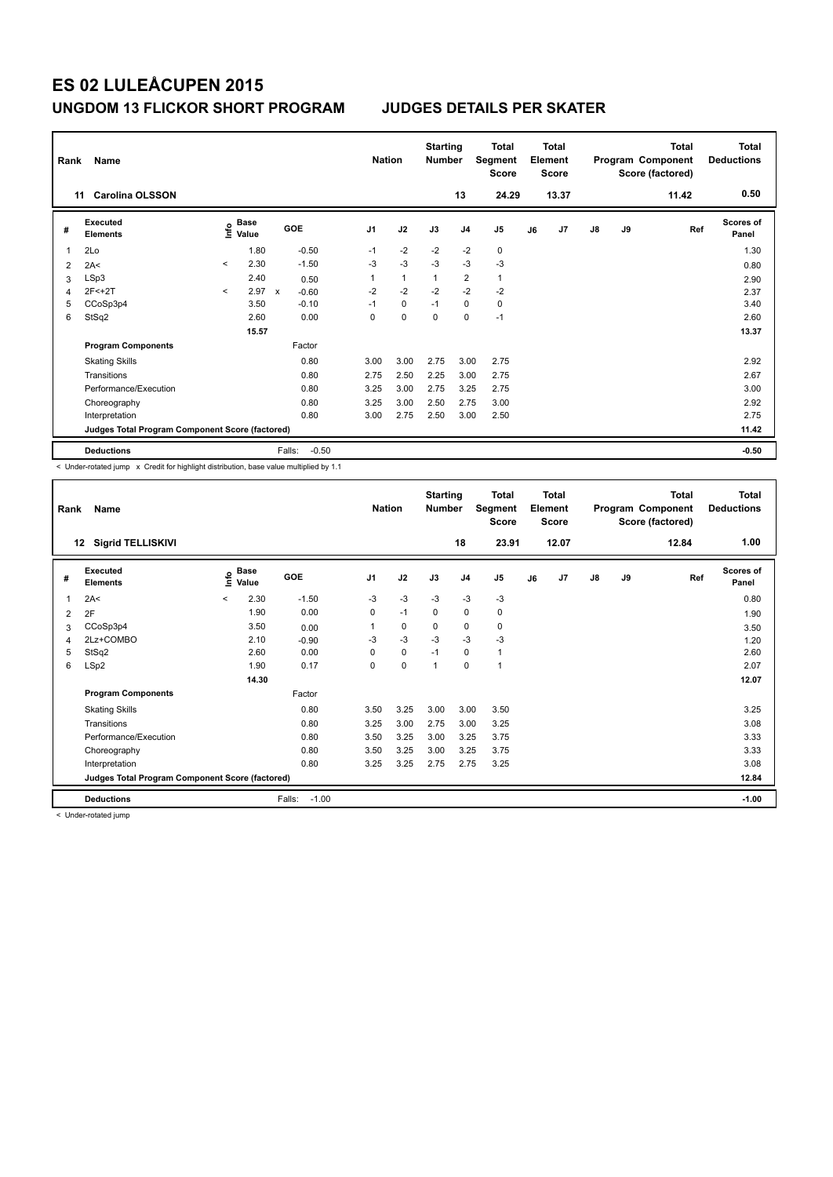| Rank | Name<br><b>Carolina OLSSON</b><br>11            |         |                                  |                                      | <b>Nation</b>  |              | <b>Starting</b><br><b>Number</b> | 13             | <b>Total</b><br>Segment<br><b>Score</b><br>24.29 |    | <b>Total</b><br>Element<br><b>Score</b><br>13.37 |               |    | Total<br>Program Component<br>Score (factored)<br>11.42 | <b>Total</b><br><b>Deductions</b><br>0.50 |
|------|-------------------------------------------------|---------|----------------------------------|--------------------------------------|----------------|--------------|----------------------------------|----------------|--------------------------------------------------|----|--------------------------------------------------|---------------|----|---------------------------------------------------------|-------------------------------------------|
| #    | Executed<br><b>Elements</b>                     |         | <b>Base</b><br>e Base<br>⊆ Value | GOE                                  | J <sub>1</sub> | J2           | J3                               | J <sub>4</sub> | J5                                               | J6 | J7                                               | $\mathsf{J}8$ | J9 | Ref                                                     | <b>Scores of</b><br>Panel                 |
| 1    | 2Lo                                             |         | 1.80                             | $-0.50$                              | $-1$           | $-2$         | $-2$                             | $-2$           | 0                                                |    |                                                  |               |    |                                                         | 1.30                                      |
| 2    | 2A<                                             | $\prec$ | 2.30                             | $-1.50$                              | $-3$           | $-3$         | $-3$                             | $-3$           | $-3$                                             |    |                                                  |               |    |                                                         | 0.80                                      |
| 3    | LSp3                                            |         | 2.40                             | 0.50                                 |                | $\mathbf{1}$ | $\mathbf{1}$                     | $\overline{2}$ | $\mathbf{1}$                                     |    |                                                  |               |    |                                                         | 2.90                                      |
| 4    | 2F<+2T                                          | $\prec$ | 2.97                             | $\boldsymbol{\mathsf{x}}$<br>$-0.60$ | $-2$           | $-2$         | $-2$                             | $-2$           | $-2$                                             |    |                                                  |               |    |                                                         | 2.37                                      |
| 5    | CCoSp3p4                                        |         | 3.50                             | $-0.10$                              | $-1$           | $\mathbf 0$  | $-1$                             | $\mathbf 0$    | $\mathbf 0$                                      |    |                                                  |               |    |                                                         | 3.40                                      |
| 6    | StSq2                                           |         | 2.60                             | 0.00                                 | 0              | $\mathbf 0$  | $\pmb{0}$                        | $\mathbf 0$    | $-1$                                             |    |                                                  |               |    |                                                         | 2.60                                      |
|      |                                                 |         | 15.57                            |                                      |                |              |                                  |                |                                                  |    |                                                  |               |    |                                                         | 13.37                                     |
|      | <b>Program Components</b>                       |         |                                  | Factor                               |                |              |                                  |                |                                                  |    |                                                  |               |    |                                                         |                                           |
|      | <b>Skating Skills</b>                           |         |                                  | 0.80                                 | 3.00           | 3.00         | 2.75                             | 3.00           | 2.75                                             |    |                                                  |               |    |                                                         | 2.92                                      |
|      | Transitions                                     |         |                                  | 0.80                                 | 2.75           | 2.50         | 2.25                             | 3.00           | 2.75                                             |    |                                                  |               |    |                                                         | 2.67                                      |
|      | Performance/Execution                           |         |                                  | 0.80                                 | 3.25           | 3.00         | 2.75                             | 3.25           | 2.75                                             |    |                                                  |               |    |                                                         | 3.00                                      |
|      | Choreography                                    |         |                                  | 0.80                                 | 3.25           | 3.00         | 2.50                             | 2.75           | 3.00                                             |    |                                                  |               |    |                                                         | 2.92                                      |
|      | Interpretation                                  |         |                                  | 0.80                                 | 3.00           | 2.75         | 2.50                             | 3.00           | 2.50                                             |    |                                                  |               |    |                                                         | 2.75                                      |
|      | Judges Total Program Component Score (factored) |         |                                  |                                      |                |              |                                  |                |                                                  |    |                                                  |               |    |                                                         | 11.42                                     |
|      | <b>Deductions</b>                               |         |                                  | $-0.50$<br>Falls:                    |                |              |                                  |                |                                                  |    |                                                  |               |    |                                                         | $-0.50$                                   |

< Under-rotated jump x Credit for highlight distribution, base value multiplied by 1.1

| Rank | Name                                            |         |                      |                   | <b>Nation</b>  |             | <b>Starting</b><br><b>Number</b> |                | Total<br>Segment<br><b>Score</b> |    | <b>Total</b><br>Element<br><b>Score</b> |               |    | <b>Total</b><br>Program Component<br>Score (factored) | <b>Total</b><br><b>Deductions</b> |
|------|-------------------------------------------------|---------|----------------------|-------------------|----------------|-------------|----------------------------------|----------------|----------------------------------|----|-----------------------------------------|---------------|----|-------------------------------------------------------|-----------------------------------|
|      | <b>Sigrid TELLISKIVI</b><br>12                  |         |                      |                   |                |             |                                  | 18             | 23.91                            |    | 12.07                                   |               |    | 12.84                                                 | 1.00                              |
| #    | <b>Executed</b><br><b>Elements</b>              | ۴ů      | <b>Base</b><br>Value | GOE               | J <sub>1</sub> | J2          | J3                               | J <sub>4</sub> | J <sub>5</sub>                   | J6 | J <sub>7</sub>                          | $\mathsf{J}8$ | J9 | Ref                                                   | <b>Scores of</b><br>Panel         |
| 1    | 2A<                                             | $\prec$ | 2.30                 | $-1.50$           | $-3$           | $-3$        | $-3$                             | $-3$           | $-3$                             |    |                                         |               |    |                                                       | 0.80                              |
| 2    | 2F                                              |         | 1.90                 | 0.00              | 0              | $-1$        | 0                                | $\mathbf 0$    | 0                                |    |                                         |               |    |                                                       | 1.90                              |
| 3    | CCoSp3p4                                        |         | 3.50                 | 0.00              |                | 0           | 0                                | 0              | 0                                |    |                                         |               |    |                                                       | 3.50                              |
| 4    | 2Lz+COMBO                                       |         | 2.10                 | $-0.90$           | -3             | $-3$        | $-3$                             | $-3$           | $-3$                             |    |                                         |               |    |                                                       | 1.20                              |
| 5    | StSq2                                           |         | 2.60                 | 0.00              | $\Omega$       | 0           | $-1$                             | $\mathbf 0$    | 1                                |    |                                         |               |    |                                                       | 2.60                              |
| 6    | LSp2                                            |         | 1.90                 | 0.17              | 0              | $\mathbf 0$ | 1                                | $\mathbf 0$    | 1                                |    |                                         |               |    |                                                       | 2.07                              |
|      |                                                 |         | 14.30                |                   |                |             |                                  |                |                                  |    |                                         |               |    |                                                       | 12.07                             |
|      | <b>Program Components</b>                       |         |                      | Factor            |                |             |                                  |                |                                  |    |                                         |               |    |                                                       |                                   |
|      | <b>Skating Skills</b>                           |         |                      | 0.80              | 3.50           | 3.25        | 3.00                             | 3.00           | 3.50                             |    |                                         |               |    |                                                       | 3.25                              |
|      | Transitions                                     |         |                      | 0.80              | 3.25           | 3.00        | 2.75                             | 3.00           | 3.25                             |    |                                         |               |    |                                                       | 3.08                              |
|      | Performance/Execution                           |         |                      | 0.80              | 3.50           | 3.25        | 3.00                             | 3.25           | 3.75                             |    |                                         |               |    |                                                       | 3.33                              |
|      | Choreography                                    |         |                      | 0.80              | 3.50           | 3.25        | 3.00                             | 3.25           | 3.75                             |    |                                         |               |    |                                                       | 3.33                              |
|      | Interpretation                                  |         |                      | 0.80              | 3.25           | 3.25        | 2.75                             | 2.75           | 3.25                             |    |                                         |               |    |                                                       | 3.08                              |
|      | Judges Total Program Component Score (factored) |         |                      |                   |                |             |                                  |                |                                  |    |                                         |               |    |                                                       | 12.84                             |
|      | <b>Deductions</b>                               |         |                      | Falls:<br>$-1.00$ |                |             |                                  |                |                                  |    |                                         |               |    |                                                       | $-1.00$                           |

< Under-rotated jump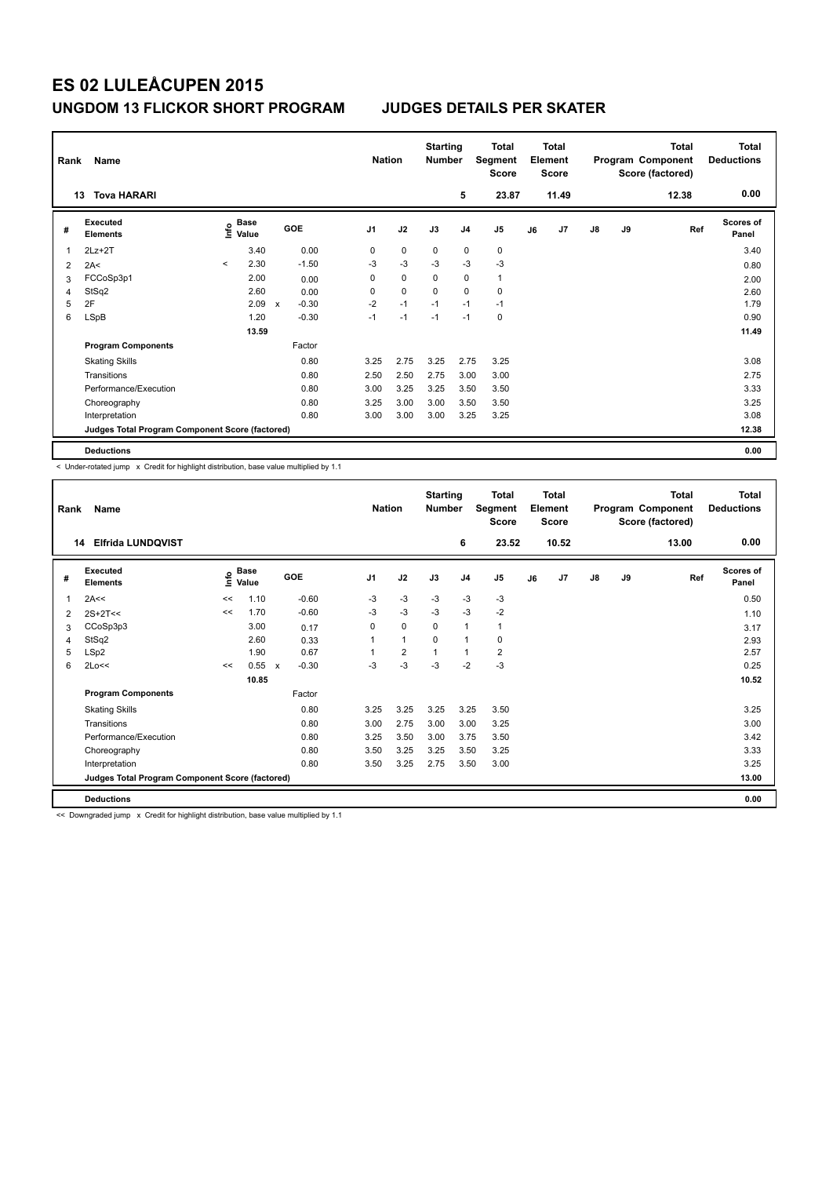| Rank | Name                                            |                          | <b>Nation</b>                    | <b>Starting</b><br><b>Number</b> |            | Total<br>Segment<br><b>Score</b> |             | <b>Total</b><br>Element<br><b>Score</b> |                |              | <b>Total</b><br>Program Component<br>Score (factored) | <b>Total</b><br><b>Deductions</b> |               |    |     |                    |
|------|-------------------------------------------------|--------------------------|----------------------------------|----------------------------------|------------|----------------------------------|-------------|-----------------------------------------|----------------|--------------|-------------------------------------------------------|-----------------------------------|---------------|----|-----|--------------------|
|      | <b>Tova HARARI</b><br>13                        |                          |                                  |                                  | 5          | 23.87                            |             | 11.49                                   |                |              | 12.38                                                 | 0.00                              |               |    |     |                    |
| #    | <b>Executed</b><br><b>Elements</b>              |                          | <b>Base</b><br>e Base<br>⊆ Value |                                  | <b>GOE</b> | J <sub>1</sub>                   | J2          | J3                                      | J <sub>4</sub> | J5           | J6                                                    | J7                                | $\mathsf{J}8$ | J9 | Ref | Scores of<br>Panel |
| 1    | $2Lz+2T$                                        |                          | 3.40                             |                                  | 0.00       | 0                                | 0           | 0                                       | 0              | 0            |                                                       |                                   |               |    |     | 3.40               |
| 2    | 2A<                                             | $\overline{\phantom{a}}$ | 2.30                             |                                  | $-1.50$    | $-3$                             | $-3$        | $-3$                                    | $-3$           | $-3$         |                                                       |                                   |               |    |     | 0.80               |
| 3    | FCCoSp3p1                                       |                          | 2.00                             |                                  | 0.00       | 0                                | $\mathbf 0$ | 0                                       | 0              | $\mathbf{1}$ |                                                       |                                   |               |    |     | 2.00               |
| 4    | StSq2                                           |                          | 2.60                             |                                  | 0.00       | 0                                | $\mathbf 0$ | $\mathbf 0$                             | $\mathbf 0$    | $\pmb{0}$    |                                                       |                                   |               |    |     | 2.60               |
| 5    | 2F                                              |                          | 2.09                             | $\mathsf{x}$                     | $-0.30$    | $-2$                             | $-1$        | $-1$                                    | $-1$           | $-1$         |                                                       |                                   |               |    |     | 1.79               |
| 6    | LSpB                                            |                          | 1.20                             |                                  | $-0.30$    | $-1$                             | $-1$        | $-1$                                    | $-1$           | 0            |                                                       |                                   |               |    |     | 0.90               |
|      |                                                 |                          | 13.59                            |                                  |            |                                  |             |                                         |                |              |                                                       |                                   |               |    |     | 11.49              |
|      | <b>Program Components</b>                       |                          |                                  |                                  | Factor     |                                  |             |                                         |                |              |                                                       |                                   |               |    |     |                    |
|      | <b>Skating Skills</b>                           |                          |                                  |                                  | 0.80       | 3.25                             | 2.75        | 3.25                                    | 2.75           | 3.25         |                                                       |                                   |               |    |     | 3.08               |
|      | Transitions                                     |                          |                                  |                                  | 0.80       | 2.50                             | 2.50        | 2.75                                    | 3.00           | 3.00         |                                                       |                                   |               |    |     | 2.75               |
|      | Performance/Execution                           |                          |                                  |                                  | 0.80       | 3.00                             | 3.25        | 3.25                                    | 3.50           | 3.50         |                                                       |                                   |               |    |     | 3.33               |
|      | Choreography                                    |                          |                                  |                                  | 0.80       | 3.25                             | 3.00        | 3.00                                    | 3.50           | 3.50         |                                                       |                                   |               |    |     | 3.25               |
|      | Interpretation                                  |                          |                                  |                                  | 0.80       | 3.00                             | 3.00        | 3.00                                    | 3.25           | 3.25         |                                                       |                                   |               |    |     | 3.08               |
|      | Judges Total Program Component Score (factored) |                          |                                  |                                  |            |                                  |             |                                         |                |              |                                                       |                                   |               |    |     | 12.38              |
|      | <b>Deductions</b>                               |                          |                                  |                                  |            |                                  |             |                                         |                |              |                                                       |                                   |               |    |     | 0.00               |

< Under-rotated jump x Credit for highlight distribution, base value multiplied by 1.1

| Rank | Name                                            |      | <b>Nation</b>        | <b>Starting</b><br><b>Number</b>     |                | <b>Total</b><br>Segment<br>Score |          | <b>Total</b><br>Element<br><b>Score</b> |                         |    | Total<br>Program Component<br>Score (factored) | <b>Total</b><br><b>Deductions</b> |      |     |                    |
|------|-------------------------------------------------|------|----------------------|--------------------------------------|----------------|----------------------------------|----------|-----------------------------------------|-------------------------|----|------------------------------------------------|-----------------------------------|------|-----|--------------------|
| 14   | <b>Elfrida LUNDQVIST</b>                        |      |                      |                                      |                | 6                                | 23.52    |                                         | 10.52                   |    |                                                | 13.00                             | 0.00 |     |                    |
| #    | Executed<br><b>Elements</b>                     | ١nfo | <b>Base</b><br>Value | GOE                                  | J <sub>1</sub> | J2                               | J3       | J <sub>4</sub>                          | J5                      | J6 | J7                                             | J8                                | J9   | Ref | Scores of<br>Panel |
| 1    | 2A<<                                            | <<   | 1.10                 | $-0.60$                              | $-3$           | $-3$                             | $-3$     | $-3$                                    | $-3$                    |    |                                                |                                   |      |     | 0.50               |
| 2    | $2S+2T<<$                                       | <<   | 1.70                 | $-0.60$                              | $-3$           | $-3$                             | $-3$     | $-3$                                    | $-2$                    |    |                                                |                                   |      |     | 1.10               |
| 3    | CCoSp3p3                                        |      | 3.00                 | 0.17                                 | 0              | $\mathbf 0$                      | 0        | $\mathbf{1}$                            | 1                       |    |                                                |                                   |      |     | 3.17               |
| 4    | StSq2                                           |      | 2.60                 | 0.33                                 |                | $\mathbf{1}$                     | $\Omega$ | $\mathbf{1}$                            | 0                       |    |                                                |                                   |      |     | 2.93               |
| 5    | LSp2                                            |      | 1.90                 | 0.67                                 |                | $\overline{2}$                   | 1        | $\mathbf{1}$                            | $\overline{\mathbf{c}}$ |    |                                                |                                   |      |     | 2.57               |
| 6    | 2Lo<<                                           | <<   | 0.55                 | $-0.30$<br>$\boldsymbol{\mathsf{x}}$ | $-3$           | -3                               | $-3$     | $-2$                                    | $-3$                    |    |                                                |                                   |      |     | 0.25               |
|      |                                                 |      | 10.85                |                                      |                |                                  |          |                                         |                         |    |                                                |                                   |      |     | 10.52              |
|      | <b>Program Components</b>                       |      |                      | Factor                               |                |                                  |          |                                         |                         |    |                                                |                                   |      |     |                    |
|      | <b>Skating Skills</b>                           |      |                      | 0.80                                 | 3.25           | 3.25                             | 3.25     | 3.25                                    | 3.50                    |    |                                                |                                   |      |     | 3.25               |
|      | Transitions                                     |      |                      | 0.80                                 | 3.00           | 2.75                             | 3.00     | 3.00                                    | 3.25                    |    |                                                |                                   |      |     | 3.00               |
|      | Performance/Execution                           |      |                      | 0.80                                 | 3.25           | 3.50                             | 3.00     | 3.75                                    | 3.50                    |    |                                                |                                   |      |     | 3.42               |
|      | Choreography                                    |      |                      | 0.80                                 | 3.50           | 3.25                             | 3.25     | 3.50                                    | 3.25                    |    |                                                |                                   |      |     | 3.33               |
|      | Interpretation                                  |      |                      | 0.80                                 | 3.50           | 3.25                             | 2.75     | 3.50                                    | 3.00                    |    |                                                |                                   |      |     | 3.25               |
|      | Judges Total Program Component Score (factored) |      |                      |                                      |                |                                  |          |                                         |                         |    |                                                |                                   |      |     | 13.00              |
|      | <b>Deductions</b>                               |      |                      |                                      |                |                                  |          |                                         |                         |    |                                                |                                   |      |     | 0.00               |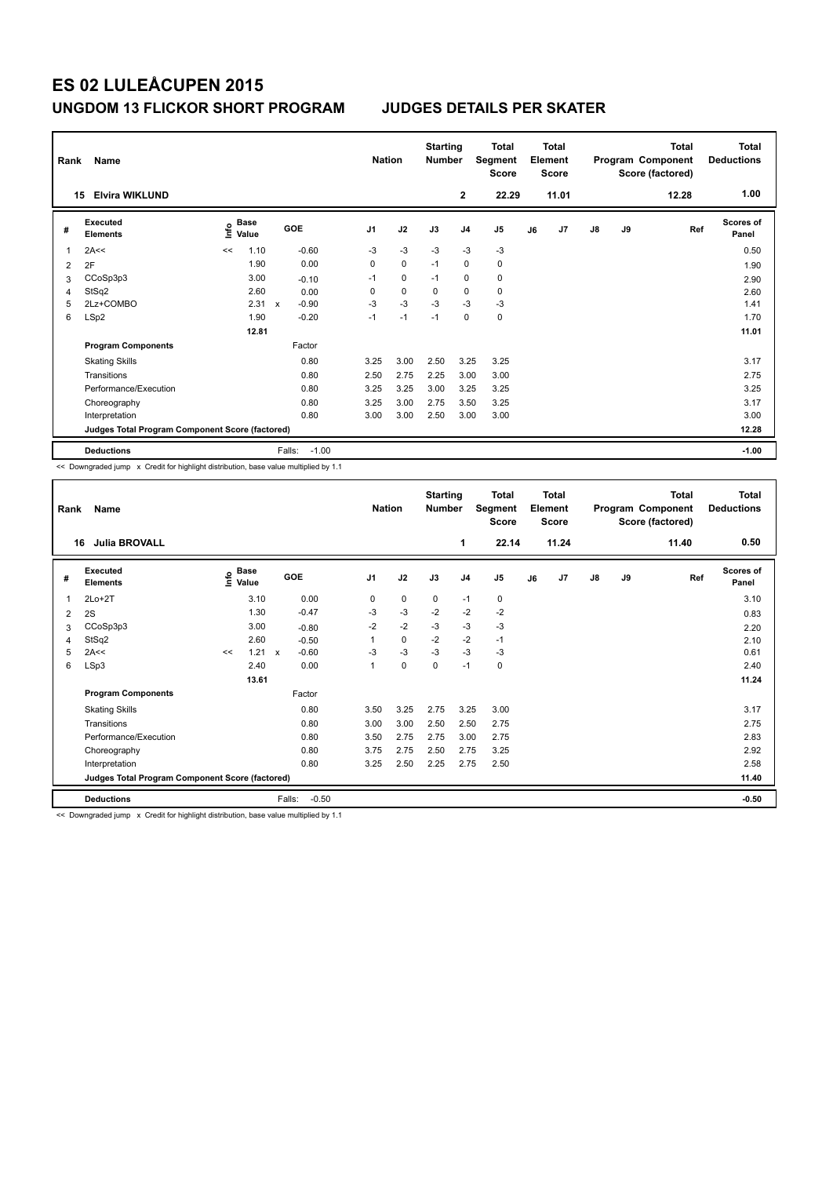| Rank | Name<br><b>Elvira WIKLUND</b>                   | <b>Nation</b> |                      | <b>Starting</b><br><b>Number</b> |         | <b>Total</b><br>Segment<br><b>Score</b> |             | <b>Total</b><br>Element<br><b>Score</b> |                |             | <b>Total</b><br>Program Component<br>Score (factored) | Total<br><b>Deductions</b><br>1.00 |               |    |       |                           |
|------|-------------------------------------------------|---------------|----------------------|----------------------------------|---------|-----------------------------------------|-------------|-----------------------------------------|----------------|-------------|-------------------------------------------------------|------------------------------------|---------------|----|-------|---------------------------|
|      | 15                                              |               |                      |                                  |         |                                         |             |                                         | $\mathbf{2}$   | 22.29       |                                                       | 11.01                              |               |    | 12.28 |                           |
| #    | Executed<br><b>Elements</b>                     | lnfo          | <b>Base</b><br>Value |                                  | GOE     | J <sub>1</sub>                          | J2          | J3                                      | J <sub>4</sub> | J5          | J6                                                    | J7                                 | $\mathsf{J}8$ | J9 | Ref   | <b>Scores of</b><br>Panel |
| 1    | 2A<<                                            | <<            | 1.10                 |                                  | $-0.60$ | $-3$                                    | $-3$        | $-3$                                    | $-3$           | $-3$        |                                                       |                                    |               |    |       | 0.50                      |
| 2    | 2F                                              |               | 1.90                 |                                  | 0.00    | $\mathbf 0$                             | $\mathbf 0$ | $-1$                                    | $\mathbf 0$    | 0           |                                                       |                                    |               |    |       | 1.90                      |
| 3    | CCoSp3p3                                        |               | 3.00                 |                                  | $-0.10$ | $-1$                                    | 0           | $-1$                                    | 0              | 0           |                                                       |                                    |               |    |       | 2.90                      |
| 4    | StSq2                                           |               | 2.60                 |                                  | 0.00    | 0                                       | $\mathbf 0$ | $\Omega$                                | $\mathbf 0$    | $\mathbf 0$ |                                                       |                                    |               |    |       | 2.60                      |
| 5    | 2Lz+COMBO                                       |               | 2.31                 | $\mathbf{x}$                     | $-0.90$ | $-3$                                    | $-3$        | $-3$                                    | $-3$           | $-3$        |                                                       |                                    |               |    |       | 1.41                      |
| 6    | LSp2                                            |               | 1.90                 |                                  | $-0.20$ | $-1$                                    | $-1$        | $-1$                                    | $\mathbf 0$    | 0           |                                                       |                                    |               |    |       | 1.70                      |
|      |                                                 |               | 12.81                |                                  |         |                                         |             |                                         |                |             |                                                       |                                    |               |    |       | 11.01                     |
|      | <b>Program Components</b>                       |               |                      |                                  | Factor  |                                         |             |                                         |                |             |                                                       |                                    |               |    |       |                           |
|      | <b>Skating Skills</b>                           |               |                      |                                  | 0.80    | 3.25                                    | 3.00        | 2.50                                    | 3.25           | 3.25        |                                                       |                                    |               |    |       | 3.17                      |
|      | Transitions                                     |               |                      |                                  | 0.80    | 2.50                                    | 2.75        | 2.25                                    | 3.00           | 3.00        |                                                       |                                    |               |    |       | 2.75                      |
|      | Performance/Execution                           |               |                      |                                  | 0.80    | 3.25                                    | 3.25        | 3.00                                    | 3.25           | 3.25        |                                                       |                                    |               |    |       | 3.25                      |
|      | Choreography                                    |               |                      |                                  | 0.80    | 3.25                                    | 3.00        | 2.75                                    | 3.50           | 3.25        |                                                       |                                    |               |    |       | 3.17                      |
|      | Interpretation                                  |               |                      |                                  | 0.80    | 3.00                                    | 3.00        | 2.50                                    | 3.00           | 3.00        |                                                       |                                    |               |    |       | 3.00                      |
|      | Judges Total Program Component Score (factored) |               |                      |                                  |         |                                         |             |                                         |                |             |                                                       | 12.28                              |               |    |       |                           |
|      | <b>Deductions</b>                               |               |                      | Falls:                           | $-1.00$ |                                         |             |                                         |                |             |                                                       |                                    |               |    |       | $-1.00$                   |

<< Downgraded jump x Credit for highlight distribution, base value multiplied by 1.1

| Rank | Name                                            |    | <b>Nation</b>                    |                         | <b>Starting</b><br><b>Number</b> |      | <b>Total</b><br>Segment<br><b>Score</b> |                | <b>Total</b><br>Element<br><b>Score</b> |    |       | <b>Total</b><br>Program Component<br>Score (factored) | Total<br><b>Deductions</b> |       |                    |
|------|-------------------------------------------------|----|----------------------------------|-------------------------|----------------------------------|------|-----------------------------------------|----------------|-----------------------------------------|----|-------|-------------------------------------------------------|----------------------------|-------|--------------------|
| 16   | <b>Julia BROVALL</b>                            |    |                                  |                         |                                  |      |                                         | 1              | 22.14                                   |    | 11.24 |                                                       |                            | 11.40 | 0.50               |
| #    | Executed<br><b>Elements</b>                     |    | <b>Base</b><br>e Base<br>⊆ Value | GOE                     | J <sub>1</sub>                   | J2   | J3                                      | J <sub>4</sub> | $\mathsf{J}5$                           | J6 | J7    | J8                                                    | J9                         | Ref   | Scores of<br>Panel |
| 1    | $2Lo+2T$                                        |    | 3.10                             | 0.00                    | 0                                | 0    | 0                                       | $-1$           | 0                                       |    |       |                                                       |                            |       | 3.10               |
| 2    | 2S                                              |    | 1.30                             | $-0.47$                 | $-3$                             | $-3$ | $-2$                                    | $-2$           | $-2$                                    |    |       |                                                       |                            |       | 0.83               |
| 3    | CCoSp3p3                                        |    | 3.00                             | $-0.80$                 | $-2$                             | $-2$ | $-3$                                    | $-3$           | $-3$                                    |    |       |                                                       |                            |       | 2.20               |
| 4    | StSq2                                           |    | 2.60                             | $-0.50$                 | 1                                | 0    | $-2$                                    | $-2$           | $-1$                                    |    |       |                                                       |                            |       | 2.10               |
| 5    | 2A<<                                            | << | 1.21                             | $-0.60$<br>$\mathsf{x}$ | $-3$                             | $-3$ | $-3$                                    | $-3$           | $-3$                                    |    |       |                                                       |                            |       | 0.61               |
| 6    | LSp3                                            |    | 2.40                             | 0.00                    | 1                                | 0    | $\mathbf 0$                             | $-1$           | 0                                       |    |       |                                                       |                            |       | 2.40               |
|      |                                                 |    | 13.61                            |                         |                                  |      |                                         |                |                                         |    |       |                                                       |                            |       | 11.24              |
|      | <b>Program Components</b>                       |    |                                  | Factor                  |                                  |      |                                         |                |                                         |    |       |                                                       |                            |       |                    |
|      | <b>Skating Skills</b>                           |    |                                  | 0.80                    | 3.50                             | 3.25 | 2.75                                    | 3.25           | 3.00                                    |    |       |                                                       |                            |       | 3.17               |
|      | Transitions                                     |    |                                  | 0.80                    | 3.00                             | 3.00 | 2.50                                    | 2.50           | 2.75                                    |    |       |                                                       |                            |       | 2.75               |
|      | Performance/Execution                           |    |                                  | 0.80                    | 3.50                             | 2.75 | 2.75                                    | 3.00           | 2.75                                    |    |       |                                                       |                            |       | 2.83               |
|      | Choreography                                    |    |                                  | 0.80                    | 3.75                             | 2.75 | 2.50                                    | 2.75           | 3.25                                    |    |       |                                                       |                            |       | 2.92               |
|      | Interpretation                                  |    |                                  | 0.80                    | 3.25                             | 2.50 | 2.25                                    | 2.75           | 2.50                                    |    |       |                                                       |                            |       | 2.58               |
|      | Judges Total Program Component Score (factored) |    |                                  |                         |                                  |      |                                         |                |                                         |    |       | 11.40                                                 |                            |       |                    |
|      | <b>Deductions</b>                               |    |                                  | Falls:<br>$-0.50$       |                                  |      |                                         |                |                                         |    |       |                                                       |                            |       | $-0.50$            |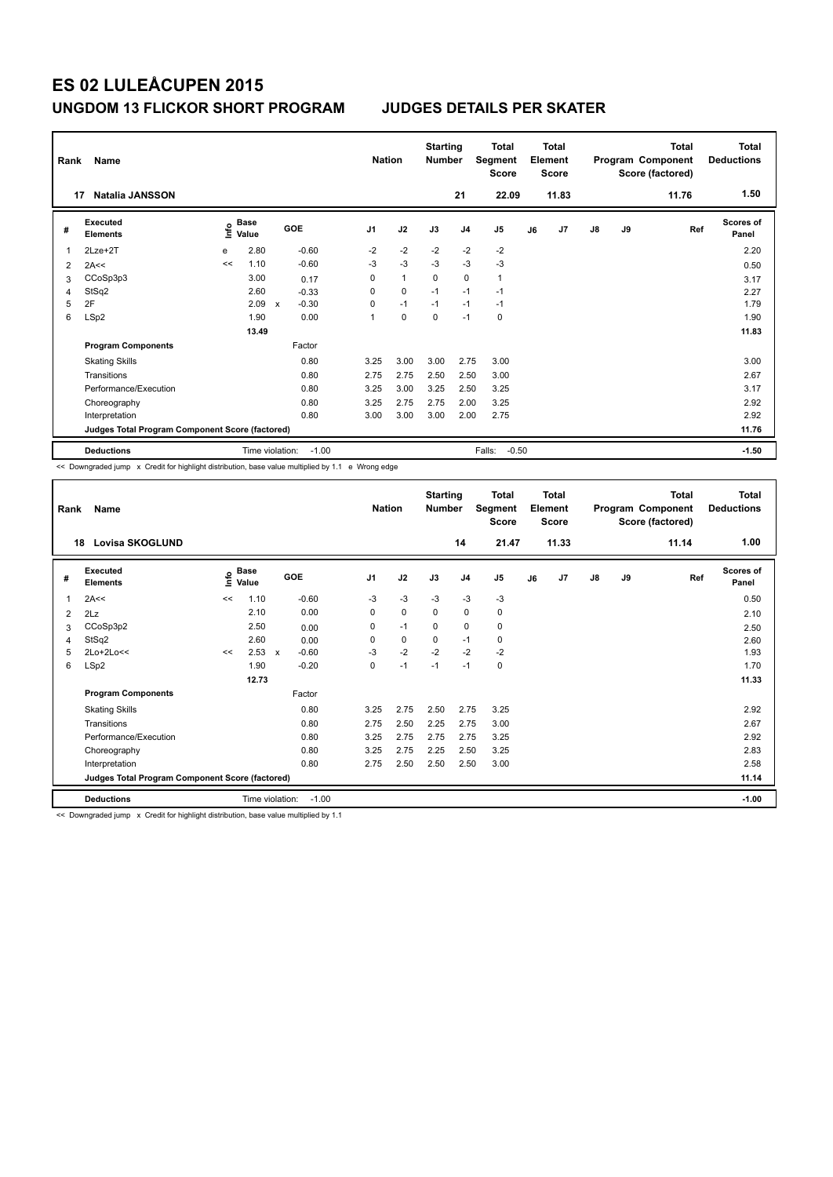| Rank<br>17 | Name<br><b>Natalia JANSSON</b>                  |      | <b>Nation</b>        |             | <b>Starting</b><br><b>Number</b> | 21             | <b>Total</b><br>Segment<br><b>Score</b><br>22.09 |             | <b>Total</b><br>Element<br><b>Score</b><br>11.83 |                |    | Total<br>Program Component<br>Score (factored)<br>11.76 | <b>Total</b><br><b>Deductions</b><br>1.50 |       |         |                           |
|------------|-------------------------------------------------|------|----------------------|-------------|----------------------------------|----------------|--------------------------------------------------|-------------|--------------------------------------------------|----------------|----|---------------------------------------------------------|-------------------------------------------|-------|---------|---------------------------|
| #          | Executed<br><b>Elements</b>                     | lnfo | <b>Base</b><br>Value |             | GOE                              | J <sub>1</sub> | J2                                               | J3          | J <sub>4</sub>                                   | J <sub>5</sub> | J6 | J7                                                      | $\mathsf{J}8$                             | J9    | Ref     | <b>Scores of</b><br>Panel |
| 1          | 2Lze+2T                                         | e    | 2.80                 |             | $-0.60$                          | $-2$           | $-2$                                             | $-2$        | $-2$                                             | $-2$           |    |                                                         |                                           |       |         | 2.20                      |
| 2          | 2A<<                                            | <<   | 1.10                 |             | $-0.60$                          | $-3$           | $-3$                                             | $-3$        | $-3$                                             | $-3$           |    |                                                         |                                           |       |         | 0.50                      |
| 3          | CCoSp3p3                                        |      | 3.00                 |             | 0.17                             | 0              | $\mathbf{1}$                                     | $\mathbf 0$ | $\mathbf 0$                                      | $\mathbf{1}$   |    |                                                         |                                           |       |         | 3.17                      |
| 4          | StSq2                                           |      | 2.60                 |             | $-0.33$                          | 0              | $\mathbf 0$                                      | $-1$        | $-1$                                             | $-1$           |    |                                                         |                                           |       |         | 2.27                      |
| 5          | 2F                                              |      | 2.09                 | $\mathbf x$ | $-0.30$                          | 0              | $-1$                                             | $-1$        | $-1$                                             | $-1$           |    |                                                         |                                           |       |         | 1.79                      |
| 6          | LSp2                                            |      | 1.90                 |             | 0.00                             | 1              | $\mathbf 0$                                      | $\pmb{0}$   | $-1$                                             | 0              |    |                                                         |                                           |       |         | 1.90                      |
|            |                                                 |      | 13.49                |             |                                  |                |                                                  |             |                                                  |                |    |                                                         |                                           |       |         | 11.83                     |
|            | <b>Program Components</b>                       |      |                      |             | Factor                           |                |                                                  |             |                                                  |                |    |                                                         |                                           |       |         |                           |
|            | <b>Skating Skills</b>                           |      |                      |             | 0.80                             | 3.25           | 3.00                                             | 3.00        | 2.75                                             | 3.00           |    |                                                         |                                           |       |         | 3.00                      |
|            | Transitions                                     |      |                      |             | 0.80                             | 2.75           | 2.75                                             | 2.50        | 2.50                                             | 3.00           |    |                                                         |                                           |       |         | 2.67                      |
|            | Performance/Execution                           |      |                      |             | 0.80                             | 3.25           | 3.00                                             | 3.25        | 2.50                                             | 3.25           |    |                                                         |                                           |       |         | 3.17                      |
|            | Choreography                                    |      |                      |             | 0.80                             | 3.25           | 2.75                                             | 2.75        | 2.00                                             | 3.25           |    |                                                         |                                           |       |         | 2.92                      |
|            | Interpretation                                  |      |                      |             | 0.80                             | 3.00           | 3.00                                             | 3.00        | 2.00                                             | 2.75           |    |                                                         |                                           |       |         | 2.92                      |
|            | Judges Total Program Component Score (factored) |      |                      |             |                                  |                |                                                  |             |                                                  |                |    |                                                         |                                           | 11.76 |         |                           |
|            | <b>Deductions</b>                               |      | Time violation:      | $-1.00$     |                                  |                |                                                  |             | Falls:<br>$-0.50$                                |                |    |                                                         |                                           |       | $-1.50$ |                           |

<< Downgraded jump x Credit for highlight distribution, base value multiplied by 1.1 e Wrong edge

| Rank | Name                                            |    | <b>Nation</b>        |                         | <b>Starting</b><br><b>Number</b> |      | <b>Total</b><br>Segment<br><b>Score</b> |                | <b>Total</b><br>Element<br><b>Score</b> |    |       | <b>Total</b><br>Program Component<br>Score (factored) | Total<br><b>Deductions</b> |       |                           |
|------|-------------------------------------------------|----|----------------------|-------------------------|----------------------------------|------|-----------------------------------------|----------------|-----------------------------------------|----|-------|-------------------------------------------------------|----------------------------|-------|---------------------------|
| 18   | <b>Lovisa SKOGLUND</b>                          |    |                      |                         |                                  |      |                                         | 14             | 21.47                                   |    | 11.33 |                                                       |                            | 11.14 | 1.00                      |
| #    | Executed<br><b>Elements</b>                     | ۴  | <b>Base</b><br>Value | <b>GOE</b>              | J <sub>1</sub>                   | J2   | J3                                      | J <sub>4</sub> | J <sub>5</sub>                          | J6 | J7    | J8                                                    | J9                         | Ref   | <b>Scores of</b><br>Panel |
| 1    | 2A<<                                            | << | 1.10                 | $-0.60$                 | $-3$                             | $-3$ | $-3$                                    | $-3$           | $-3$                                    |    |       |                                                       |                            |       | 0.50                      |
| 2    | 2Lz                                             |    | 2.10                 | 0.00                    | 0                                | 0    | 0                                       | 0              | 0                                       |    |       |                                                       |                            |       | 2.10                      |
| 3    | CCoSp3p2                                        |    | 2.50                 | 0.00                    | 0                                | $-1$ | $\mathbf 0$                             | $\mathbf 0$    | 0                                       |    |       |                                                       |                            |       | 2.50                      |
| 4    | StSq2                                           |    | 2.60                 | 0.00                    | 0                                | 0    | $\mathbf 0$                             | $-1$           | 0                                       |    |       |                                                       |                            |       | 2.60                      |
| 5    | 2Lo+2Lo<<                                       | << | 2.53                 | $-0.60$<br>$\mathsf{x}$ | $-3$                             | $-2$ | $-2$                                    | $-2$           | $-2$                                    |    |       |                                                       |                            |       | 1.93                      |
| 6    | LSp2                                            |    | 1.90                 | $-0.20$                 | 0                                | $-1$ | $-1$                                    | $-1$           | 0                                       |    |       |                                                       |                            |       | 1.70                      |
|      |                                                 |    | 12.73                |                         |                                  |      |                                         |                |                                         |    |       |                                                       |                            |       | 11.33                     |
|      | <b>Program Components</b>                       |    |                      | Factor                  |                                  |      |                                         |                |                                         |    |       |                                                       |                            |       |                           |
|      | <b>Skating Skills</b>                           |    |                      | 0.80                    | 3.25                             | 2.75 | 2.50                                    | 2.75           | 3.25                                    |    |       |                                                       |                            |       | 2.92                      |
|      | Transitions                                     |    |                      | 0.80                    | 2.75                             | 2.50 | 2.25                                    | 2.75           | 3.00                                    |    |       |                                                       |                            |       | 2.67                      |
|      | Performance/Execution                           |    |                      | 0.80                    | 3.25                             | 2.75 | 2.75                                    | 2.75           | 3.25                                    |    |       |                                                       |                            |       | 2.92                      |
|      | Choreography                                    |    |                      | 0.80                    | 3.25                             | 2.75 | 2.25                                    | 2.50           | 3.25                                    |    |       |                                                       |                            |       | 2.83                      |
|      | Interpretation                                  |    |                      | 0.80                    | 2.75                             | 2.50 | 2.50                                    | 2.50           | 3.00                                    |    |       |                                                       |                            |       | 2.58                      |
|      | Judges Total Program Component Score (factored) |    |                      |                         |                                  |      |                                         |                |                                         |    |       |                                                       | 11.14                      |       |                           |
|      | <b>Deductions</b>                               |    | Time violation:      | $-1.00$                 |                                  |      |                                         |                |                                         |    |       |                                                       |                            |       | $-1.00$                   |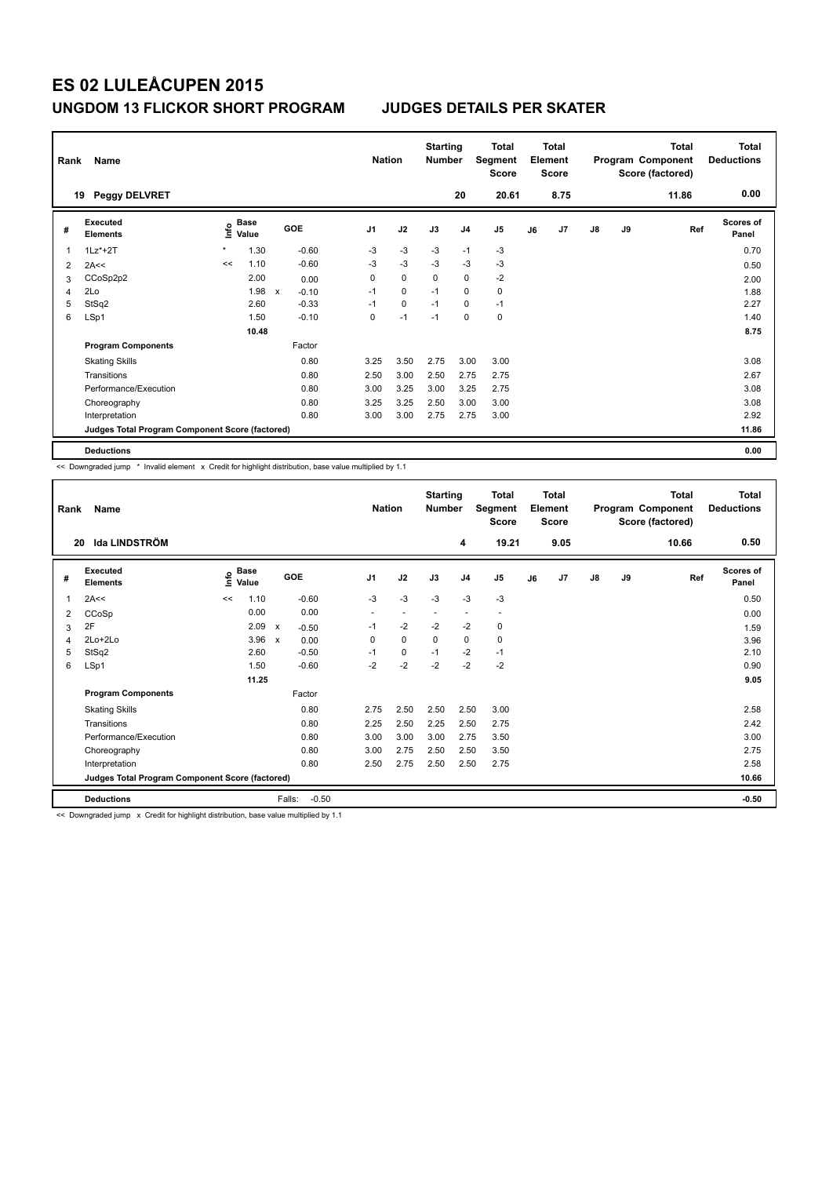|   | Name<br>Rank<br><b>Peggy DELVRET</b><br>19      |         |               |                           |         |                | <b>Nation</b> | <b>Starting</b><br><b>Number</b> |                | Total<br>Segment<br><b>Score</b> |    | <b>Total</b><br>Element<br><b>Score</b> |               |    | <b>Total</b><br>Program Component<br>Score (factored) | <b>Total</b><br><b>Deductions</b> |
|---|-------------------------------------------------|---------|---------------|---------------------------|---------|----------------|---------------|----------------------------------|----------------|----------------------------------|----|-----------------------------------------|---------------|----|-------------------------------------------------------|-----------------------------------|
|   |                                                 |         |               |                           |         |                |               |                                  | 20             | 20.61                            |    | 8.75                                    |               |    | 11.86                                                 | 0.00                              |
| # | Executed<br><b>Elements</b>                     | lnfo    | Base<br>Value |                           | GOE     | J <sub>1</sub> | J2            | J3                               | J <sub>4</sub> | J <sub>5</sub>                   | J6 | J7                                      | $\mathsf{J}8$ | J9 | Ref                                                   | Scores of<br>Panel                |
| 1 | $1Lz^*+2T$                                      | $\star$ | 1.30          |                           | $-0.60$ | -3             | $-3$          | -3                               | $-1$           | -3                               |    |                                         |               |    |                                                       | 0.70                              |
| 2 | 2A<<                                            | <<      | 1.10          |                           | $-0.60$ | $-3$           | $-3$          | $-3$                             | $-3$           | $-3$                             |    |                                         |               |    |                                                       | 0.50                              |
| 3 | CCoSp2p2                                        |         | 2.00          |                           | 0.00    | 0              | $\mathbf 0$   | 0                                | $\mathbf 0$    | $-2$                             |    |                                         |               |    |                                                       | 2.00                              |
| 4 | 2Lo                                             |         | 1.98          | $\boldsymbol{\mathsf{x}}$ | $-0.10$ | $-1$           | 0             | $-1$                             | 0              | 0                                |    |                                         |               |    |                                                       | 1.88                              |
| 5 | StSq2                                           |         | 2.60          |                           | $-0.33$ | $-1$           | 0             | $-1$                             | 0              | $-1$                             |    |                                         |               |    |                                                       | 2.27                              |
| 6 | LSp1                                            |         | 1.50          |                           | $-0.10$ | 0              | $-1$          | $-1$                             | 0              | 0                                |    |                                         |               |    |                                                       | 1.40                              |
|   |                                                 |         | 10.48         |                           |         |                |               |                                  |                |                                  |    |                                         |               |    |                                                       | 8.75                              |
|   | <b>Program Components</b>                       |         |               |                           | Factor  |                |               |                                  |                |                                  |    |                                         |               |    |                                                       |                                   |
|   | <b>Skating Skills</b>                           |         |               |                           | 0.80    | 3.25           | 3.50          | 2.75                             | 3.00           | 3.00                             |    |                                         |               |    |                                                       | 3.08                              |
|   | Transitions                                     |         |               |                           | 0.80    | 2.50           | 3.00          | 2.50                             | 2.75           | 2.75                             |    |                                         |               |    |                                                       | 2.67                              |
|   | Performance/Execution                           |         |               |                           | 0.80    | 3.00           | 3.25          | 3.00                             | 3.25           | 2.75                             |    |                                         |               |    |                                                       | 3.08                              |
|   | Choreography                                    |         |               |                           | 0.80    | 3.25           | 3.25          | 2.50                             | 3.00           | 3.00                             |    |                                         |               |    |                                                       | 3.08                              |
|   | Interpretation                                  |         |               |                           | 0.80    | 3.00           | 3.00          | 2.75                             | 2.75           | 3.00                             |    |                                         |               |    |                                                       | 2.92                              |
|   | Judges Total Program Component Score (factored) |         |               |                           |         |                |               |                                  |                |                                  |    |                                         |               |    |                                                       | 11.86                             |
|   | <b>Deductions</b>                               |         |               |                           |         |                |               |                                  |                |                                  |    |                                         |               |    |                                                       | 0.00                              |

<< Downgraded jump \* Invalid element x Credit for highlight distribution, base value multiplied by 1.1

| Rank | Name                                            |    | <b>Nation</b>        |                                      | <b>Starting</b><br><b>Number</b> |      | Total<br>Segment<br><b>Score</b> |                          | <b>Total</b><br>Element<br><b>Score</b> |    |      | <b>Total</b><br>Program Component<br>Score (factored) | <b>Total</b><br><b>Deductions</b> |       |                           |
|------|-------------------------------------------------|----|----------------------|--------------------------------------|----------------------------------|------|----------------------------------|--------------------------|-----------------------------------------|----|------|-------------------------------------------------------|-----------------------------------|-------|---------------------------|
| 20   | <b>Ida LINDSTRÖM</b>                            |    |                      |                                      |                                  |      |                                  | 4                        | 19.21                                   |    | 9.05 |                                                       |                                   | 10.66 | 0.50                      |
| #    | Executed<br><b>Elements</b>                     | ۴ů | <b>Base</b><br>Value | GOE                                  | J <sub>1</sub>                   | J2   | J3                               | J <sub>4</sub>           | J <sub>5</sub>                          | J6 | J7   | $\mathsf{J}8$                                         | J9                                | Ref   | <b>Scores of</b><br>Panel |
| 1    | 2A<<                                            | << | 1.10                 | $-0.60$                              | $-3$                             | $-3$ | $-3$                             | $-3$                     | $-3$                                    |    |      |                                                       |                                   |       | 0.50                      |
| 2    | CCoSp                                           |    | 0.00                 | 0.00                                 |                                  |      |                                  | $\overline{\phantom{a}}$ | $\overline{\phantom{a}}$                |    |      |                                                       |                                   |       | 0.00                      |
| 3    | 2F                                              |    | 2.09                 | $\boldsymbol{\mathsf{x}}$<br>$-0.50$ | $-1$                             | $-2$ | $-2$                             | $-2$                     | 0                                       |    |      |                                                       |                                   |       | 1.59                      |
| 4    | 2Lo+2Lo                                         |    | 3.96                 | 0.00<br>$\mathsf{x}$                 | 0                                | 0    | $\mathbf 0$                      | $\mathbf 0$              | 0                                       |    |      |                                                       |                                   |       | 3.96                      |
| 5    | StSq2                                           |    | 2.60                 | $-0.50$                              | $-1$                             | 0    | $-1$                             | $-2$                     | $-1$                                    |    |      |                                                       |                                   |       | 2.10                      |
| 6    | LSp1                                            |    | 1.50                 | $-0.60$                              | $-2$                             | $-2$ | $-2$                             | $-2$                     | $-2$                                    |    |      |                                                       |                                   |       | 0.90                      |
|      |                                                 |    | 11.25                |                                      |                                  |      |                                  |                          |                                         |    |      |                                                       |                                   |       | 9.05                      |
|      | <b>Program Components</b>                       |    |                      | Factor                               |                                  |      |                                  |                          |                                         |    |      |                                                       |                                   |       |                           |
|      | <b>Skating Skills</b>                           |    |                      | 0.80                                 | 2.75                             | 2.50 | 2.50                             | 2.50                     | 3.00                                    |    |      |                                                       |                                   |       | 2.58                      |
|      | Transitions                                     |    |                      | 0.80                                 | 2.25                             | 2.50 | 2.25                             | 2.50                     | 2.75                                    |    |      |                                                       |                                   |       | 2.42                      |
|      | Performance/Execution                           |    |                      | 0.80                                 | 3.00                             | 3.00 | 3.00                             | 2.75                     | 3.50                                    |    |      |                                                       |                                   |       | 3.00                      |
|      | Choreography                                    |    |                      | 0.80                                 | 3.00                             | 2.75 | 2.50                             | 2.50                     | 3.50                                    |    |      |                                                       |                                   |       | 2.75                      |
|      | Interpretation                                  |    |                      | 0.80                                 | 2.50                             | 2.75 | 2.50                             | 2.50                     | 2.75                                    |    |      |                                                       |                                   |       | 2.58                      |
|      | Judges Total Program Component Score (factored) |    |                      |                                      |                                  |      |                                  |                          |                                         |    |      |                                                       |                                   |       | 10.66                     |
|      | <b>Deductions</b>                               |    |                      | Falls:<br>$-0.50$                    |                                  |      |                                  |                          |                                         |    |      |                                                       |                                   |       | $-0.50$                   |